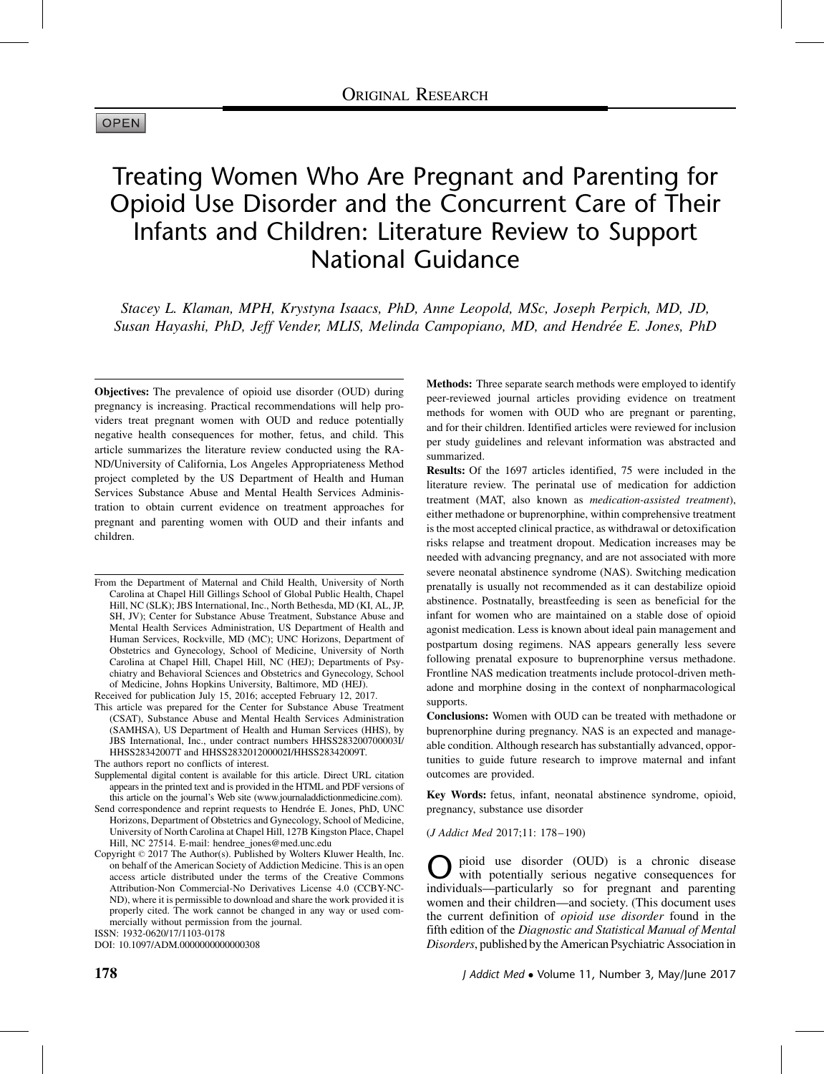#### **OPEN**

# Treating Women Who Are Pregnant and Parenting for Opioid Use Disorder and the Concurrent Care of Their Infants and Children: Literature Review to Support National Guidance

Stacey L. Klaman, MPH, Krystyna Isaacs, PhD, Anne Leopold, MSc, Joseph Perpich, MD, JD, Susan Hayashi, PhD, Jeff Vender, MLIS, Melinda Campopiano, MD, and Hendrée E. Jones, PhD

Objectives: The prevalence of opioid use disorder (OUD) during pregnancy is increasing. Practical recommendations will help providers treat pregnant women with OUD and reduce potentially negative health consequences for mother, fetus, and child. This article summarizes the literature review conducted using the RA-ND/University of California, Los Angeles Appropriateness Method project completed by the US Department of Health and Human Services Substance Abuse and Mental Health Services Administration to obtain current evidence on treatment approaches for pregnant and parenting women with OUD and their infants and children.

From the Department of Maternal and Child Health, University of North Carolina at Chapel Hill Gillings School of Global Public Health, Chapel Hill, NC (SLK); JBS International, Inc., North Bethesda, MD (KI, AL, JP, SH, JV); Center for Substance Abuse Treatment, Substance Abuse and Mental Health Services Administration, US Department of Health and Human Services, Rockville, MD (MC); UNC Horizons, Department of Obstetrics and Gynecology, School of Medicine, University of North Carolina at Chapel Hill, Chapel Hill, NC (HEJ); Departments of Psychiatry and Behavioral Sciences and Obstetrics and Gynecology, School of Medicine, Johns Hopkins University, Baltimore, MD (HEJ).

Received for publication July 15, 2016; accepted February 12, 2017. This article was prepared for the Center for Substance Abuse Treatment (CSAT), Substance Abuse and Mental Health Services Administration (SAMHSA), US Department of Health and Human Services (HHS), by JBS International, Inc., under contract numbers HHSS283200700003I/ HHSS28342007T and HHSS283201200002I/HHSS28342009T.

The authors report no conflicts of interest.

Supplemental digital content is available for this article. Direct URL citation appears in the printed text and is provided in the HTML and PDF versions of this article on the journal's Web site (www.journaladdictionmedicine.com).

Send correspondence and reprint requests to Hendrée E. Jones, PhD, UNC Horizons, Department of Obstetrics and Gynecology, School of Medicine, University of North Carolina at Chapel Hill, 127B Kingston Place, Chapel Hill, NC 27514. E-mail: hendree\_jones@med.unc.edu

Copyright © 2017 The Author(s). Published by Wolters Kluwer Health, Inc. on behalf of the American Society of Addiction Medicine. This is an open access article distributed under the terms of the Creative Commons Attribution-Non Commercial-No Derivatives License 4.0 (CCBY-NC-ND), where it is permissible to download and share the work provided it is properly cited. The work cannot be changed in any way or used commercially without permission from the journal. ISSN: 1932-0620/17/1103-0178

DOI: 10.1097/ADM.0000000000000308

Methods: Three separate search methods were employed to identify peer-reviewed journal articles providing evidence on treatment methods for women with OUD who are pregnant or parenting, and for their children. Identified articles were reviewed for inclusion per study guidelines and relevant information was abstracted and summarized.

Results: Of the 1697 articles identified, 75 were included in the literature review. The perinatal use of medication for addiction treatment (MAT, also known as medication-assisted treatment), either methadone or buprenorphine, within comprehensive treatment is the most accepted clinical practice, as withdrawal or detoxification risks relapse and treatment dropout. Medication increases may be needed with advancing pregnancy, and are not associated with more severe neonatal abstinence syndrome (NAS). Switching medication prenatally is usually not recommended as it can destabilize opioid abstinence. Postnatally, breastfeeding is seen as beneficial for the infant for women who are maintained on a stable dose of opioid agonist medication. Less is known about ideal pain management and postpartum dosing regimens. NAS appears generally less severe following prenatal exposure to buprenorphine versus methadone. Frontline NAS medication treatments include protocol-driven methadone and morphine dosing in the context of nonpharmacological supports.

Conclusions: Women with OUD can be treated with methadone or buprenorphine during pregnancy. NAS is an expected and manageable condition. Although research has substantially advanced, opportunities to guide future research to improve maternal and infant outcomes are provided.

Key Words: fetus, infant, neonatal abstinence syndrome, opioid, pregnancy, substance use disorder

(J Addict Med 2017;11: 178–190)

pioid use disorder (OUD) is a chronic disease with potentially serious negative consequences for individuals—particularly so for pregnant and parenting women and their children—and society. (This document uses the current definition of opioid use disorder found in the fifth edition of the Diagnostic and Statistical Manual of Mental Disorders, published by the American Psychiatric Association in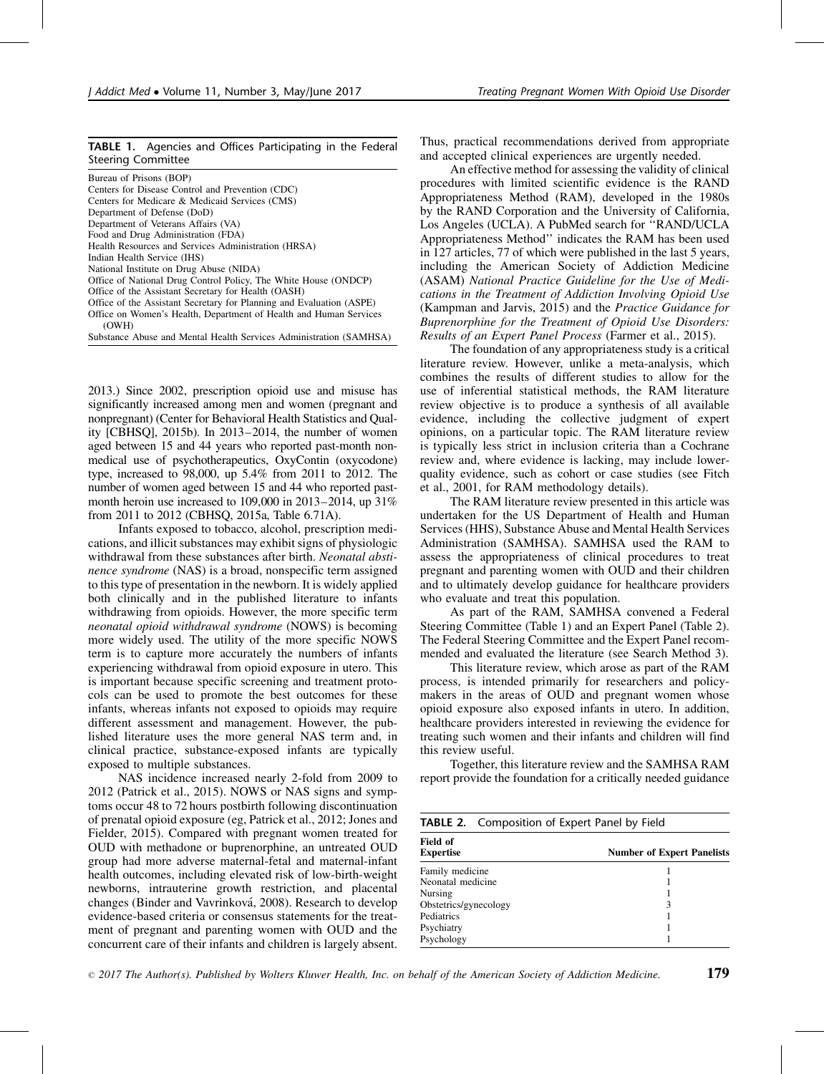#### TABLE 1. Agencies and Offices Participating in the Federal Steering Committee

| Bureau of Prisons (BOP)                                                    |
|----------------------------------------------------------------------------|
| Centers for Disease Control and Prevention (CDC)                           |
| Centers for Medicare & Medicaid Services (CMS)                             |
| Department of Defense (DoD)                                                |
| Department of Veterans Affairs (VA)                                        |
| Food and Drug Administration (FDA)                                         |
| Health Resources and Services Administration (HRSA)                        |
| Indian Health Service (IHS)                                                |
| National Institute on Drug Abuse (NIDA)                                    |
| Office of National Drug Control Policy, The White House (ONDCP)            |
| Office of the Assistant Secretary for Health (OASH)                        |
| Office of the Assistant Secretary for Planning and Evaluation (ASPE)       |
| Office on Women's Health, Department of Health and Human Services<br>(OWH) |
| Substance Abuse and Mental Health Services Administration (SAMHSA)         |
|                                                                            |

2013.) Since 2002, prescription opioid use and misuse has significantly increased among men and women (pregnant and nonpregnant) ([Center for Behavioral Health Statistics and Qual](#page-10-0)[ity \[CBHSQ\], 2015b\)](#page-10-0). In 2013–2014, the number of women aged between 15 and 44 years who reported past-month nonmedical use of psychotherapeutics, OxyContin (oxycodone) type, increased to 98,000, up 5.4% from 2011 to 2012. The number of women aged between 15 and 44 who reported pastmonth heroin use increased to 109,000 in 2013–2014, up 31% from 2011 to 2012 [\(CBHSQ, 2015a](#page-10-0), Table 6.71A).

Infants exposed to tobacco, alcohol, prescription medications, and illicit substances may exhibit signs of physiologic withdrawal from these substances after birth. Neonatal abstinence syndrome (NAS) is a broad, nonspecific term assigned to this type of presentation in the newborn. It is widely applied both clinically and in the published literature to infants withdrawing from opioids. However, the more specific term neonatal opioid withdrawal syndrome (NOWS) is becoming more widely used. The utility of the more specific NOWS term is to capture more accurately the numbers of infants experiencing withdrawal from opioid exposure in utero. This is important because specific screening and treatment protocols can be used to promote the best outcomes for these infants, whereas infants not exposed to opioids may require different assessment and management. However, the published literature uses the more general NAS term and, in clinical practice, substance-exposed infants are typically exposed to multiple substances.

NAS incidence increased nearly 2-fold from 2009 to 2012 [\(Patrick et al., 2015\)](#page-12-0). NOWS or NAS signs and symptoms occur 48 to 72 hours postbirth following discontinuation of prenatal opioid exposure (eg, [Patrick et al., 2012; Jones and](#page-12-0) [Fielder, 2015](#page-12-0)). Compared with pregnant women treated for OUD with methadone or buprenorphine, an untreated OUD group had more adverse maternal-fetal and maternal-infant health outcomes, including elevated risk of low-birth-weight newborns, intrauterine growth restriction, and placental changes (Binder and Vavrinková, 2008). Research to develop evidence-based criteria or consensus statements for the treatment of pregnant and parenting women with OUD and the concurrent care of their infants and children is largely absent.

Thus, practical recommendations derived from appropriate and accepted clinical experiences are urgently needed.

An effective method for assessing the validity of clinical procedures with limited scientific evidence is the RAND Appropriateness Method (RAM), developed in the 1980s by the RAND Corporation and the University of California, Los Angeles (UCLA). A PubMed search for ''RAND/UCLA Appropriateness Method'' indicates the RAM has been used in 127 articles, 77 of which were published in the last 5 years, including the American Society of Addiction Medicine (ASAM) National Practice Guideline for the Use of Medications in the Treatment of Addiction Involving Opioid Use [\(Kampman and Jarvis, 2015\)](#page-11-0) and the Practice Guidance for Buprenorphine for the Treatment of Opioid Use Disorders: Results of an Expert Panel Process [\(Farmer et al., 2015\)](#page-10-0).

The foundation of any appropriateness study is a critical literature review. However, unlike a meta-analysis, which combines the results of different studies to allow for the use of inferential statistical methods, the RAM literature review objective is to produce a synthesis of all available evidence, including the collective judgment of expert opinions, on a particular topic. The RAM literature review is typically less strict in inclusion criteria than a Cochrane review and, where evidence is lacking, may include lowerquality evidence, such as cohort or case studies (see [Fitch](#page-10-0) [et al., 2001](#page-10-0), for RAM methodology details).

The RAM literature review presented in this article was undertaken for the US Department of Health and Human Services (HHS), Substance Abuse and Mental Health Services Administration (SAMHSA). SAMHSA used the RAM to assess the appropriateness of clinical procedures to treat pregnant and parenting women with OUD and their children and to ultimately develop guidance for healthcare providers who evaluate and treat this population.

As part of the RAM, SAMHSA convened a Federal Steering Committee (Table 1) and an Expert Panel (Table 2). The Federal Steering Committee and the Expert Panel recommended and evaluated the literature (see Search Method 3).

This literature review, which arose as part of the RAM process, is intended primarily for researchers and policymakers in the areas of OUD and pregnant women whose opioid exposure also exposed infants in utero. In addition, healthcare providers interested in reviewing the evidence for treating such women and their infants and children will find this review useful.

Together, this literature review and the SAMHSA RAM report provide the foundation for a critically needed guidance

| <b>TABLE 2.</b> Composition of Expert Panel by Field |                                   |
|------------------------------------------------------|-----------------------------------|
| Field of<br><b>Expertise</b>                         | <b>Number of Expert Panelists</b> |
| Family medicine                                      |                                   |
| Neonatal medicine                                    |                                   |
| Nursing                                              |                                   |
| Obstetrics/gynecology                                | 3                                 |
| Pediatrics                                           |                                   |
| Psychiatry                                           |                                   |
| Psychology                                           |                                   |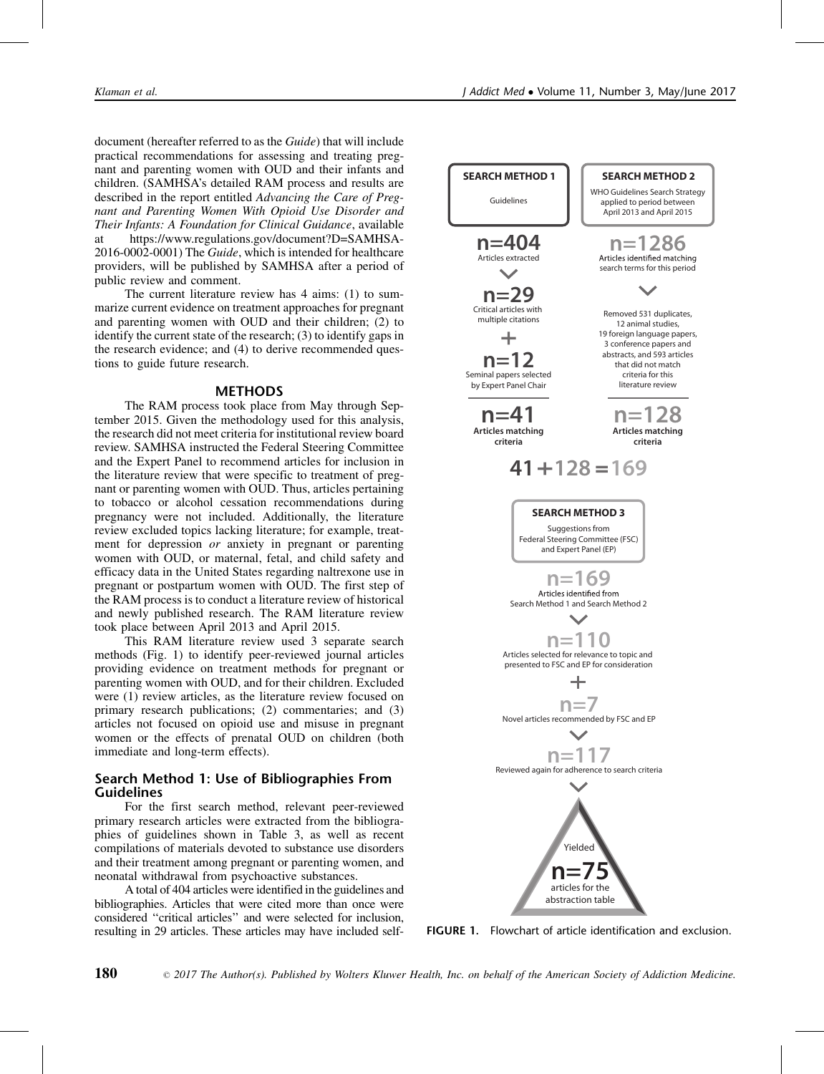document (hereafter referred to as the Guide) that will include practical recommendations for assessing and treating pregnant and parenting women with OUD and their infants and children. (SAMHSA's detailed RAM process and results are described in the report entitled Advancing the Care of Pregnant and Parenting Women With Opioid Use Disorder and Their Infants: A Foundation for Clinical Guidance, available at [https://www.regulations.gov/document?D=SAMHSA-](https://www.regulations.gov/document?D=SAMHSA-2016-0002-0001)[2016-0002-0001](https://www.regulations.gov/document?D=SAMHSA-2016-0002-0001)) The Guide, which is intended for healthcare providers, will be published by SAMHSA after a period of public review and comment.

The current literature review has 4 aims: (1) to summarize current evidence on treatment approaches for pregnant and parenting women with OUD and their children; (2) to identify the current state of the research; (3) to identify gaps in the research evidence; and (4) to derive recommended questions to guide future research.

#### METHODS

The RAM process took place from May through September 2015. Given the methodology used for this analysis, the research did not meet criteria for institutional review board review. SAMHSA instructed the Federal Steering Committee and the Expert Panel to recommend articles for inclusion in the literature review that were specific to treatment of pregnant or parenting women with OUD. Thus, articles pertaining to tobacco or alcohol cessation recommendations during pregnancy were not included. Additionally, the literature review excluded topics lacking literature; for example, treatment for depression or anxiety in pregnant or parenting women with OUD, or maternal, fetal, and child safety and efficacy data in the United States regarding naltrexone use in pregnant or postpartum women with OUD. The first step of the RAM process is to conduct a literature review of historical and newly published research. The RAM literature review took place between April 2013 and April 2015.

This RAM literature review used 3 separate search methods (Fig. 1) to identify peer-reviewed journal articles providing evidence on treatment methods for pregnant or parenting women with OUD, and for their children. Excluded were (1) review articles, as the literature review focused on primary research publications; (2) commentaries; and (3) articles not focused on opioid use and misuse in pregnant women or the effects of prenatal OUD on children (both immediate and long-term effects).

## Search Method 1: Use of Bibliographies From Guidelines

For the first search method, relevant peer-reviewed primary research articles were extracted from the bibliographies of guidelines shown in Table 3, as well as recent compilations of materials devoted to substance use disorders and their treatment among pregnant or parenting women, and neonatal withdrawal from psychoactive substances.

A total of 404 articles were identified in the guidelines and bibliographies. Articles that were cited more than once were considered ''critical articles'' and were selected for inclusion, resulting in 29 articles. These articles may have included self-



FIGURE 1. Flowchart of article identification and exclusion.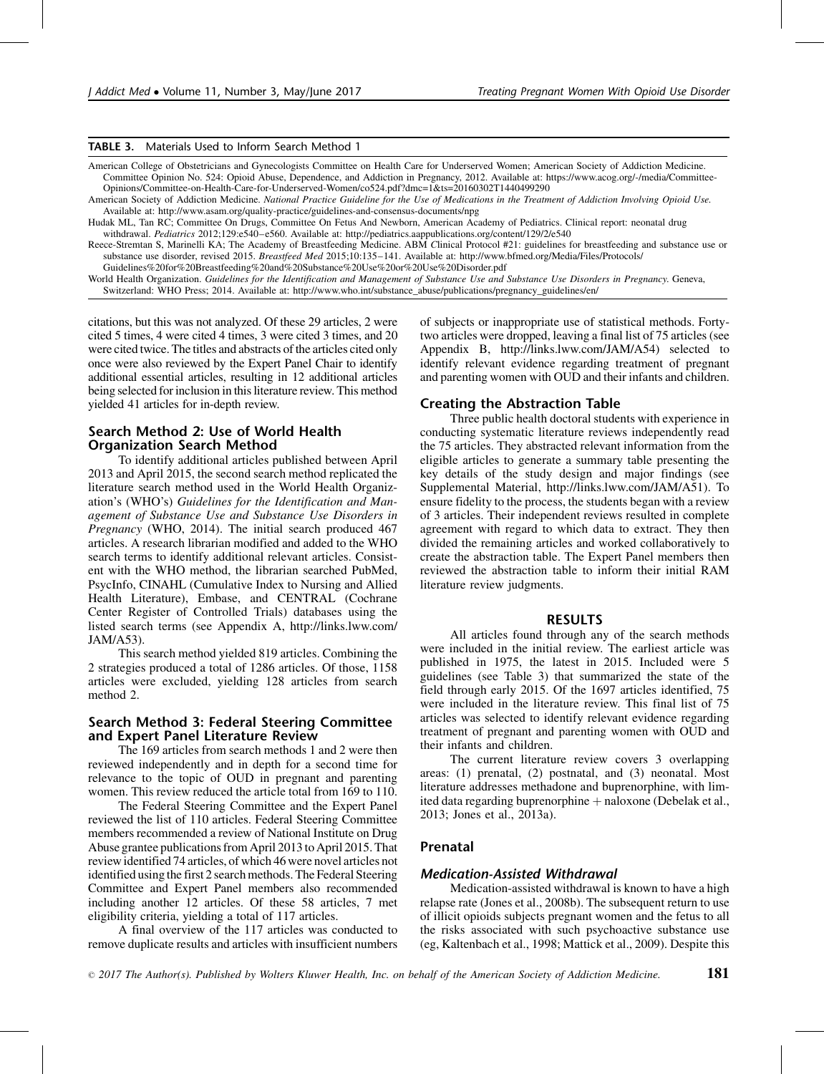#### TABLE 3. Materials Used to Inform Search Method 1

American College of Obstetricians and Gynecologists Committee on Health Care for Underserved Women; American Society of Addiction Medicine. Committee Opinion No. 524: Opioid Abuse, Dependence, and Addiction in Pregnancy, 2012. Available at: [https://www.acog.org/-/media/Committee-](https://www.acog.org/-/media/Committee-Opinions/Committee-on-Health-Care-for-Underserved-Women/co524.pdf?dmc=1%26ts=20160302T1440499290)[Opinions/Committee-on-Health-Care-for-Underserved-Women/co524.pdf?dmc=1&ts=20160302T1440499290](https://www.acog.org/-/media/Committee-Opinions/Committee-on-Health-Care-for-Underserved-Women/co524.pdf?dmc=1%26ts=20160302T1440499290)

American Society of Addiction Medicine. National Practice Guideline for the Use of Medications in the Treatment of Addiction Involving Opioid Use. Available at:<http://www.asam.org/quality-practice/guidelines-and-consensus-documents/npg>

Hudak ML, Tan RC; Committee On Drugs, Committee On Fetus And Newborn, American Academy of Pediatrics. Clinical report: neonatal drug withdrawal. Pediatrics 2012;129:e540-e560. Available at:<http://pediatrics.aappublications.org/content/129/2/e540>

[Reece-Stremtan S, Marinelli KA; The Academy of Breastfeeding Medicine. ABM](#page-12-0) Clinical Protocol #21: guidelines for breastfeeding and substance use or [substance use disorder, revised 2015.](#page-12-0) Breastfeed Med 2015;10:135–141. Available at: [http://www.bfmed.org/Media/Files/Protocols/](http://www.bfmed.org/Media/Files/Protocols/Guidelines%20for%20Breastfeeding%20and%20Substance%20Use%20or%20Use%20Disorder.pdf) [Guidelines%20for%20Breastfeeding%20and%20Substance%20Use%20or%20Use%20Disorder.pdf](http://www.bfmed.org/Media/Files/Protocols/Guidelines%20for%20Breastfeeding%20and%20Substance%20Use%20or%20Use%20Disorder.pdf)

World Health Organization. Guidelines for the Identification and Management of Substance Use and Substance Use Disorders in Pregnancy. Geneva, Switzerland: WHO Press; 2014. Available at: [http://www.who.int/substance\\_abuse/publications/pregnancy\\_guidelines/en/](http://www.who.int/substance_abuse/publications/pregnancy_guidelines/en/)

citations, but this was not analyzed. Of these 29 articles, 2 were cited 5 times, 4 were cited 4 times, 3 were cited 3 times, and 20 were cited twice. The titles and abstracts of the articles cited only once were also reviewed by the Expert Panel Chair to identify additional essential articles, resulting in 12 additional articles being selected for inclusion in this literature review. This method yielded 41 articles for in-depth review.

#### Search Method 2: Use of World Health Organization Search Method

To identify additional articles published between April 2013 and April 2015, the second search method replicated the literature search method used in the World Health Organization's (WHO's) Guidelines for the Identification and Management of Substance Use and Substance Use Disorders in Pregnancy [\(WHO, 2014\)](#page-12-0). The initial search produced 467 articles. A research librarian modified and added to the WHO search terms to identify additional relevant articles. Consistent with the WHO method, the librarian searched PubMed, PsycInfo, CINAHL (Cumulative Index to Nursing and Allied Health Literature), Embase, and CENTRAL (Cochrane Center Register of Controlled Trials) databases using the listed search terms (see Appendix A, [http://links.lww.com/](http://links.lww.com/JAM/A53) [JAM/A53](http://links.lww.com/JAM/A53)).

This search method yielded 819 articles. Combining the 2 strategies produced a total of 1286 articles. Of those, 1158 articles were excluded, yielding 128 articles from search method 2.

#### Search Method 3: Federal Steering Committee and Expert Panel Literature Review

The 169 articles from search methods 1 and 2 were then reviewed independently and in depth for a second time for relevance to the topic of OUD in pregnant and parenting women. This review reduced the article total from 169 to 110.

The Federal Steering Committee and the Expert Panel reviewed the list of 110 articles. Federal Steering Committee members recommended a review of National Institute on Drug Abuse grantee publications from April 2013 to April 2015. That review identified 74 articles, of which 46 were novel articles not identified using the first 2 search methods. The Federal Steering Committee and Expert Panel members also recommended including another 12 articles. Of these 58 articles, 7 met eligibility criteria, yielding a total of 117 articles.

A final overview of the 117 articles was conducted to remove duplicate results and articles with insufficient numbers

of subjects or inappropriate use of statistical methods. Fortytwo articles were dropped, leaving a final list of 75 articles (see Appendix B,<http://links.lww.com/JAM/A54>) selected to identify relevant evidence regarding treatment of pregnant and parenting women with OUD and their infants and children.

#### Creating the Abstraction Table

Three public health doctoral students with experience in conducting systematic literature reviews independently read the 75 articles. They abstracted relevant information from the eligible articles to generate a summary table presenting the key details of the study design and major findings (see Supplemental Material, [http://links.lww.com/JAM/A51\)](http://links.lww.com/JAM/A51). To ensure fidelity to the process, the students began with a review of 3 articles. Their independent reviews resulted in complete agreement with regard to which data to extract. They then divided the remaining articles and worked collaboratively to create the abstraction table. The Expert Panel members then reviewed the abstraction table to inform their initial RAM literature review judgments.

#### RESULTS

All articles found through any of the search methods were included in the initial review. The earliest article was published in 1975, the latest in 2015. Included were 5 guidelines (see Table 3) that summarized the state of the field through early 2015. Of the 1697 articles identified, 75 were included in the literature review. This final list of 75 articles was selected to identify relevant evidence regarding treatment of pregnant and parenting women with OUD and their infants and children.

The current literature review covers 3 overlapping areas: (1) prenatal, (2) postnatal, and (3) neonatal. Most literature addresses methadone and buprenorphine, with limited data regarding buprenorphine  $+$  naloxone [\(Debelak et al.,](#page-10-0) [2013; Jones et al., 2013a](#page-10-0)).

#### Prenatal

#### Medication-Assisted Withdrawal

Medication-assisted withdrawal is known to have a high relapse rate ([Jones et al., 2008b\)](#page-11-0). The subsequent return to use of illicit opioids subjects pregnant women and the fetus to all the risks associated with such psychoactive substance use (eg, [Kaltenbach et al., 1998; Mattick et al., 2009](#page-11-0)). Despite this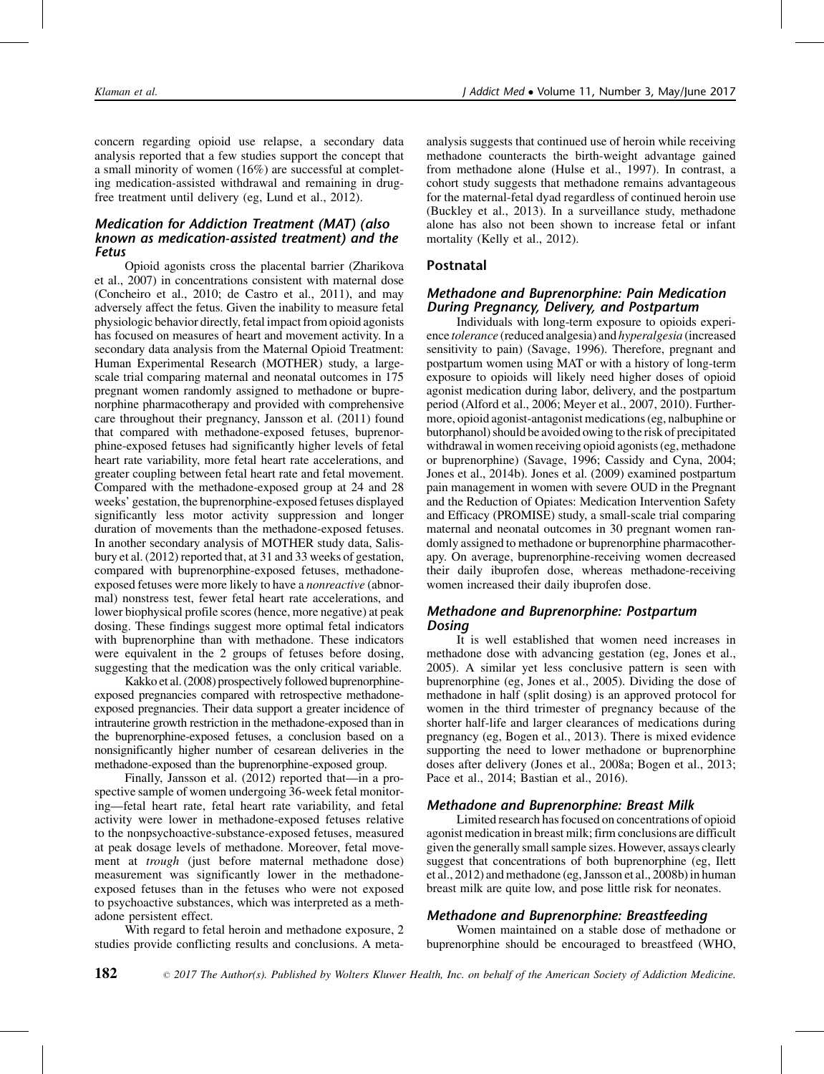concern regarding opioid use relapse, a secondary data analysis reported that a few studies support the concept that a small minority of women (16%) are successful at completing medication-assisted withdrawal and remaining in drugfree treatment until delivery (eg, [Lund et al., 2012\)](#page-12-0).

## Medication for Addiction Treatment (MAT) (also known as medication-assisted treatment) and the Fetus

Opioid agonists cross the placental barrier ([Zharikova](#page-12-0) [et al., 2007\)](#page-12-0) in concentrations consistent with maternal dose [\(Concheiro et al., 2010; de Castro et al., 2011](#page-10-0)), and may adversely affect the fetus. Given the inability to measure fetal physiologic behavior directly, fetal impact from opioid agonists has focused on measures of heart and movement activity. In a secondary data analysis from the Maternal Opioid Treatment: Human Experimental Research (MOTHER) study, a largescale trial comparing maternal and neonatal outcomes in 175 pregnant women randomly assigned to methadone or buprenorphine pharmacotherapy and provided with comprehensive care throughout their pregnancy, [Jansson et al. \(2011\)](#page-11-0) found that compared with methadone-exposed fetuses, buprenorphine-exposed fetuses had significantly higher levels of fetal heart rate variability, more fetal heart rate accelerations, and greater coupling between fetal heart rate and fetal movement. Compared with the methadone-exposed group at 24 and 28 weeks' gestation, the buprenorphine-exposed fetuses displayed significantly less motor activity suppression and longer duration of movements than the methadone-exposed fetuses. In another secondary analysis of MOTHER study data, [Salis](#page-12-0)[bury et al. \(2012\)](#page-12-0) reported that, at 31 and 33 weeks of gestation, compared with buprenorphine-exposed fetuses, methadoneexposed fetuses were more likely to have a nonreactive (abnormal) nonstress test, fewer fetal heart rate accelerations, and lower biophysical profile scores (hence, more negative) at peak dosing. These findings suggest more optimal fetal indicators with buprenorphine than with methadone. These indicators were equivalent in the 2 groups of fetuses before dosing, suggesting that the medication was the only critical variable.

[Kakko et al. \(2008\)](#page-11-0) prospectively followed buprenorphineexposed pregnancies compared with retrospective methadoneexposed pregnancies. Their data support a greater incidence of intrauterine growth restriction in the methadone-exposed than in the buprenorphine-exposed fetuses, a conclusion based on a nonsignificantly higher number of cesarean deliveries in the methadone-exposed than the buprenorphine-exposed group.

Finally, [Jansson et al. \(2012\)](#page-11-0) reported that—in a prospective sample of women undergoing 36-week fetal monitoring—fetal heart rate, fetal heart rate variability, and fetal activity were lower in methadone-exposed fetuses relative to the nonpsychoactive-substance-exposed fetuses, measured at peak dosage levels of methadone. Moreover, fetal movement at trough (just before maternal methadone dose) measurement was significantly lower in the methadoneexposed fetuses than in the fetuses who were not exposed to psychoactive substances, which was interpreted as a methadone persistent effect.

With regard to fetal heroin and methadone exposure, 2 studies provide conflicting results and conclusions. A metaanalysis suggests that continued use of heroin while receiving methadone counteracts the birth-weight advantage gained from methadone alone [\(Hulse et al., 1997\)](#page-11-0). In contrast, a cohort study suggests that methadone remains advantageous for the maternal-fetal dyad regardless of continued heroin use [\(Buckley et al., 2013](#page-10-0)). In a surveillance study, methadone alone has also not been shown to increase fetal or infant mortality [\(Kelly et al., 2012](#page-11-0)).

# Postnatal

## Methadone and Buprenorphine: Pain Medication During Pregnancy, Delivery, and Postpartum

Individuals with long-term exposure to opioids experience tolerance (reduced analgesia) and hyperalgesia (increased sensitivity to pain) [\(Savage, 1996\)](#page-12-0). Therefore, pregnant and postpartum women using MAT or with a history of long-term exposure to opioids will likely need higher doses of opioid agonist medication during labor, delivery, and the postpartum period ([Alford et al., 2006; Meyer et al., 2007, 2010\)](#page-10-0). Furthermore, opioid agonist-antagonist medications (eg, nalbuphine or butorphanol) should be avoided owing to the risk of precipitated withdrawal in women receiving opioid agonists (eg, methadone or buprenorphine) [\(Savage, 1996; Cassidy and Cyna, 2004;](#page-12-0) [Jones et al., 2014b](#page-12-0)). [Jones et al. \(2009\)](#page-11-0) examined postpartum pain management in women with severe OUD in the Pregnant and the Reduction of Opiates: Medication Intervention Safety and Efficacy (PROMISE) study, a small-scale trial comparing maternal and neonatal outcomes in 30 pregnant women randomly assigned to methadone or buprenorphine pharmacotherapy. On average, buprenorphine-receiving women decreased their daily ibuprofen dose, whereas methadone-receiving women increased their daily ibuprofen dose.

## Methadone and Buprenorphine: Postpartum Dosing

It is well established that women need increases in methadone dose with advancing gestation (eg, [Jones et al.,](#page-11-0) [2005\)](#page-11-0). A similar yet less conclusive pattern is seen with buprenorphine (eg, [Jones et al., 2005\)](#page-11-0). Dividing the dose of methadone in half (split dosing) is an approved protocol for women in the third trimester of pregnancy because of the shorter half-life and larger clearances of medications during pregnancy (eg, [Bogen et al., 2013](#page-10-0)). There is mixed evidence supporting the need to lower methadone or buprenorphine doses after delivery ([Jones et al., 2008a; Bogen et al., 2013;](#page-11-0) [Pace et al., 2014; Bastian et al., 2016\)](#page-11-0).

## Methadone and Buprenorphine: Breast Milk

Limited research has focused on concentrations of opioid agonist medication in breast milk; firm conclusions are difficult given the generally small sample sizes. However, assays clearly suggest that concentrations of both buprenorphine (eg, [Ilett](#page-11-0) [et al., 2012](#page-11-0)) and methadone (eg, [Jansson et al., 2008b\)](#page-11-0) in human breast milk are quite low, and pose little risk for neonates.

# Methadone and Buprenorphine: Breastfeeding

Women maintained on a stable dose of methadone or buprenorphine should be encouraged to breastfeed ([WHO,](#page-12-0)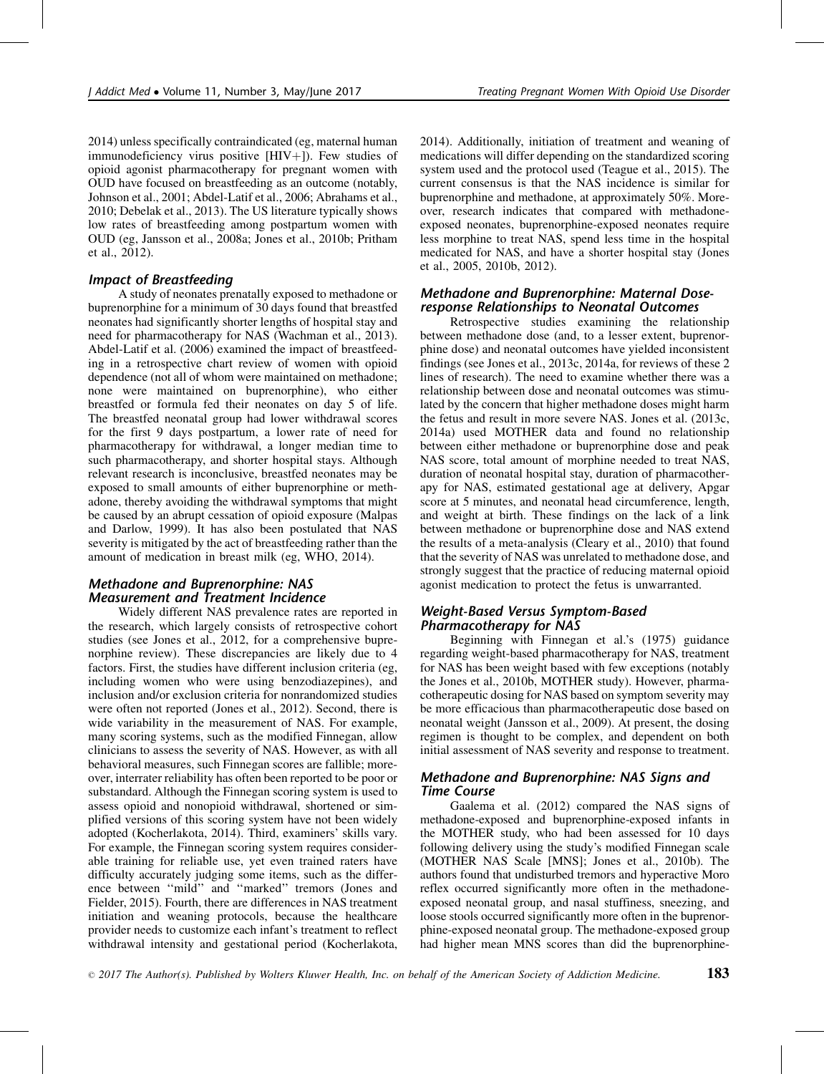[2014\)](#page-12-0) unless specifically contraindicated (eg, maternal human immunodeficiency virus positive  $[HIV+]$ ). Few studies of opioid agonist pharmacotherapy for pregnant women with OUD have focused on breastfeeding as an outcome (notably, [Johnson et al., 2001; Abdel-Latif et al., 2006; Abrahams et al.,](#page-11-0) [2010; Debelak et al., 2013](#page-11-0)). The US literature typically shows low rates of breastfeeding among postpartum women with OUD (eg, [Jansson et al., 2008a; Jones et al., 2010b; Pritham](#page-11-0) [et al., 2012](#page-11-0)).

## Impact of Breastfeeding

A study of neonates prenatally exposed to methadone or buprenorphine for a minimum of 30 days found that breastfed neonates had significantly shorter lengths of hospital stay and need for pharmacotherapy for NAS [\(Wachman et al., 2013](#page-12-0)). [Abdel-Latif et al. \(2006\)](#page-10-0) examined the impact of breastfeeding in a retrospective chart review of women with opioid dependence (not all of whom were maintained on methadone; none were maintained on buprenorphine), who either breastfed or formula fed their neonates on day 5 of life. The breastfed neonatal group had lower withdrawal scores for the first 9 days postpartum, a lower rate of need for pharmacotherapy for withdrawal, a longer median time to such pharmacotherapy, and shorter hospital stays. Although relevant research is inconclusive, breastfed neonates may be exposed to small amounts of either buprenorphine or methadone, thereby avoiding the withdrawal symptoms that might be caused by an abrupt cessation of opioid exposure ([Malpas](#page-12-0) [and Darlow, 1999](#page-12-0)). It has also been postulated that NAS severity is mitigated by the act of breastfeeding rather than the amount of medication in breast milk (eg, [WHO, 2014\)](#page-12-0).

# Methadone and Buprenorphine: NAS Measurement and Treatment Incidence

Widely different NAS prevalence rates are reported in the research, which largely consists of retrospective cohort studies (see [Jones et al., 2012,](#page-11-0) for a comprehensive buprenorphine review). These discrepancies are likely due to 4 factors. First, the studies have different inclusion criteria (eg, including women who were using benzodiazepines), and inclusion and/or exclusion criteria for nonrandomized studies were often not reported [\(Jones et al., 2012\)](#page-11-0). Second, there is wide variability in the measurement of NAS. For example, many scoring systems, such as the modified Finnegan, allow clinicians to assess the severity of NAS. However, as with all behavioral measures, such Finnegan scores are fallible; moreover, interrater reliability has often been reported to be poor or substandard. Although the Finnegan scoring system is used to assess opioid and nonopioid withdrawal, shortened or simplified versions of this scoring system have not been widely adopted [\(Kocherlakota, 2014](#page-11-0)). Third, examiners' skills vary. For example, the Finnegan scoring system requires considerable training for reliable use, yet even trained raters have difficulty accurately judging some items, such as the difference between ''mild'' and ''marked'' tremors [\(Jones and](#page-11-0) [Fielder, 2015\)](#page-11-0). Fourth, there are differences in NAS treatment initiation and weaning protocols, because the healthcare provider needs to customize each infant's treatment to reflect withdrawal intensity and gestational period ([Kocherlakota,](#page-11-0)

[2014\)](#page-11-0). Additionally, initiation of treatment and weaning of medications will differ depending on the standardized scoring system used and the protocol used [\(Teague et al., 2015\)](#page-12-0). The current consensus is that the NAS incidence is similar for buprenorphine and methadone, at approximately 50%. Moreover, research indicates that compared with methadoneexposed neonates, buprenorphine-exposed neonates require less morphine to treat NAS, spend less time in the hospital medicated for NAS, and have a shorter hospital stay ([Jones](#page-11-0) [et al., 2005, 2010b, 2012\)](#page-11-0).

## Methadone and Buprenorphine: Maternal Doseresponse Relationships to Neonatal Outcomes

Retrospective studies examining the relationship between methadone dose (and, to a lesser extent, buprenorphine dose) and neonatal outcomes have yielded inconsistent findings (see [Jones et al., 2013c, 2014a](#page-11-0), for reviews of these 2 lines of research). The need to examine whether there was a relationship between dose and neonatal outcomes was stimulated by the concern that higher methadone doses might harm the fetus and result in more severe NAS. [Jones et al. \(2013c,](#page-11-0) [2014a\)](#page-11-0) used MOTHER data and found no relationship between either methadone or buprenorphine dose and peak NAS score, total amount of morphine needed to treat NAS, duration of neonatal hospital stay, duration of pharmacotherapy for NAS, estimated gestational age at delivery, Apgar score at 5 minutes, and neonatal head circumference, length, and weight at birth. These findings on the lack of a link between methadone or buprenorphine dose and NAS extend the results of a meta-analysis [\(Cleary et al., 2010\)](#page-10-0) that found that the severity of NAS was unrelated to methadone dose, and strongly suggest that the practice of reducing maternal opioid agonist medication to protect the fetus is unwarranted.

## Weight-Based Versus Symptom-Based Pharmacotherapy for NAS

Beginning with [Finnegan et al.'s \(1975\)](#page-10-0) guidance regarding weight-based pharmacotherapy for NAS, treatment for NAS has been weight based with few exceptions (notably the [Jones et al., 2010b](#page-11-0), MOTHER study). However, pharmacotherapeutic dosing for NAS based on symptom severity may be more efficacious than pharmacotherapeutic dose based on neonatal weight ([Jansson et al., 2009](#page-11-0)). At present, the dosing regimen is thought to be complex, and dependent on both initial assessment of NAS severity and response to treatment.

## Methadone and Buprenorphine: NAS Signs and Time Course

[Gaalema et al. \(2012\)](#page-11-0) compared the NAS signs of methadone-exposed and buprenorphine-exposed infants in the MOTHER study, who had been assessed for 10 days following delivery using the study's modified Finnegan scale (MOTHER NAS Scale [MNS]; [Jones et al., 2010b\)](#page-11-0). The authors found that undisturbed tremors and hyperactive Moro reflex occurred significantly more often in the methadoneexposed neonatal group, and nasal stuffiness, sneezing, and loose stools occurred significantly more often in the buprenorphine-exposed neonatal group. The methadone-exposed group had higher mean MNS scores than did the buprenorphine-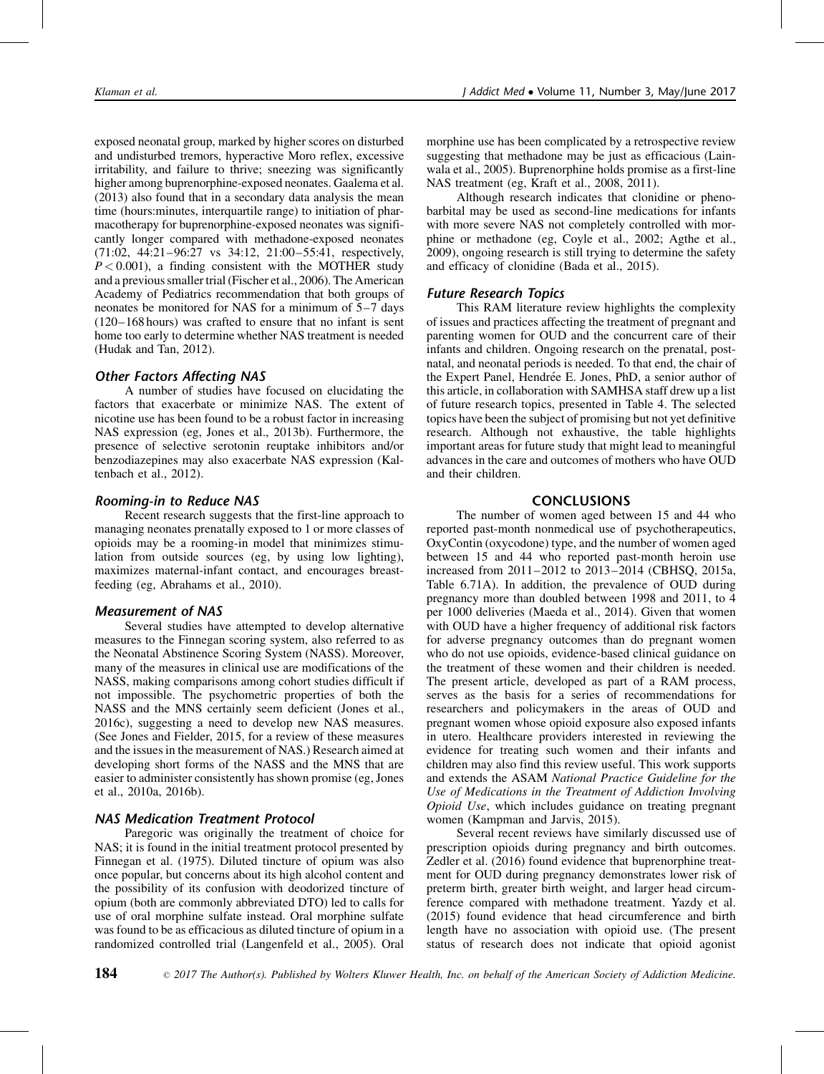exposed neonatal group, marked by higher scores on disturbed and undisturbed tremors, hyperactive Moro reflex, excessive irritability, and failure to thrive; sneezing was significantly higher among buprenorphine-exposed neonates. [Gaalema et al.](#page-11-0) [\(2013\)](#page-11-0) also found that in a secondary data analysis the mean time (hours:minutes, interquartile range) to initiation of pharmacotherapy for buprenorphine-exposed neonates was significantly longer compared with methadone-exposed neonates (71:02, 44:21–96:27 vs 34:12, 21:00–55:41, respectively,  $P < 0.001$ ), a finding consistent with the MOTHER study and a previous smaller trial ([Fischer et al., 2006\)](#page-10-0). The American Academy of Pediatrics recommendation that both groups of neonates be monitored for NAS for a minimum of 5–7 days (120–168 hours) was crafted to ensure that no infant is sent home too early to determine whether NAS treatment is needed [\(Hudak and Tan, 2012\)](#page-11-0).

# Other Factors Affecting NAS

A number of studies have focused on elucidating the factors that exacerbate or minimize NAS. The extent of nicotine use has been found to be a robust factor in increasing NAS expression (eg, [Jones et al., 2013b\)](#page-11-0). Furthermore, the presence of selective serotonin reuptake inhibitors and/or benzodiazepines may also exacerbate NAS expression [\(Kal](#page-11-0)[tenbach et al., 2012\)](#page-11-0).

# Rooming-in to Reduce NAS

Recent research suggests that the first-line approach to managing neonates prenatally exposed to 1 or more classes of opioids may be a rooming-in model that minimizes stimulation from outside sources (eg, by using low lighting), maximizes maternal-infant contact, and encourages breastfeeding (eg, [Abrahams et al., 2010](#page-10-0)).

# Measurement of NAS

Several studies have attempted to develop alternative measures to the Finnegan scoring system, also referred to as the Neonatal Abstinence Scoring System (NASS). Moreover, many of the measures in clinical use are modifications of the NASS, making comparisons among cohort studies difficult if not impossible. The psychometric properties of both the NASS and the MNS certainly seem deficient [\(Jones et al.,](#page-11-0) [2016c](#page-11-0)), suggesting a need to develop new NAS measures. (See [Jones and Fielder, 2015](#page-11-0), for a review of these measures and the issues in the measurement of NAS.) Research aimed at developing short forms of the NASS and the MNS that are easier to administer consistently has shown promise (eg, [Jones](#page-11-0) [et al., 2010a, 2016b](#page-11-0)).

# NAS Medication Treatment Protocol

Paregoric was originally the treatment of choice for NAS; it is found in the initial treatment protocol presented by [Finnegan et al. \(1975\).](#page-10-0) Diluted tincture of opium was also once popular, but concerns about its high alcohol content and the possibility of its confusion with deodorized tincture of opium (both are commonly abbreviated DTO) led to calls for use of oral morphine sulfate instead. Oral morphine sulfate was found to be as efficacious as diluted tincture of opium in a randomized controlled trial ([Langenfeld et al., 2005](#page-12-0)). Oral morphine use has been complicated by a retrospective review suggesting that methadone may be just as efficacious [\(Lain](#page-12-0)[wala et al., 2005](#page-12-0)). Buprenorphine holds promise as a first-line NAS treatment (eg, [Kraft et al., 2008, 2011\)](#page-11-0).

Although research indicates that clonidine or phenobarbital may be used as second-line medications for infants with more severe NAS not completely controlled with morphine or methadone (eg, [Coyle et al., 2002; Agthe et al.,](#page-10-0) [2009\)](#page-10-0), ongoing research is still trying to determine the safety and efficacy of clonidine ([Bada et al., 2015\)](#page-10-0).

# Future Research Topics

This RAM literature review highlights the complexity of issues and practices affecting the treatment of pregnant and parenting women for OUD and the concurrent care of their infants and children. Ongoing research on the prenatal, postnatal, and neonatal periods is needed. To that end, the chair of the Expert Panel, Hendrée E. Jones, PhD, a senior author of this article, in collaboration with SAMHSA staff drew up a list of future research topics, presented in Table 4. The selected topics have been the subject of promising but not yet definitive research. Although not exhaustive, the table highlights important areas for future study that might lead to meaningful advances in the care and outcomes of mothers who have OUD and their children.

## CONCLUSIONS

The number of women aged between 15 and 44 who reported past-month nonmedical use of psychotherapeutics, OxyContin (oxycodone) type, and the number of women aged between 15 and 44 who reported past-month heroin use increased from 2011–2012 to 2013–2014 [\(CBHSQ, 2015a,](#page-10-0) Table 6.71A). In addition, the prevalence of OUD during pregnancy more than doubled between 1998 and 2011, to 4 per 1000 deliveries ([Maeda et al., 2014\)](#page-12-0). Given that women with OUD have a higher frequency of additional risk factors for adverse pregnancy outcomes than do pregnant women who do not use opioids, evidence-based clinical guidance on the treatment of these women and their children is needed. The present article, developed as part of a RAM process, serves as the basis for a series of recommendations for researchers and policymakers in the areas of OUD and pregnant women whose opioid exposure also exposed infants in utero. Healthcare providers interested in reviewing the evidence for treating such women and their infants and children may also find this review useful. This work supports and extends the ASAM National Practice Guideline for the Use of Medications in the Treatment of Addiction Involving Opioid Use, which includes guidance on treating pregnant women [\(Kampman and Jarvis, 2015\)](#page-11-0).

Several recent reviews have similarly discussed use of prescription opioids during pregnancy and birth outcomes. [Zedler et al. \(2016\)](#page-12-0) found evidence that buprenorphine treatment for OUD during pregnancy demonstrates lower risk of preterm birth, greater birth weight, and larger head circumference compared with methadone treatment. [Yazdy et al.](#page-12-0) [\(2015\)](#page-12-0) found evidence that head circumference and birth length have no association with opioid use. (The present status of research does not indicate that opioid agonist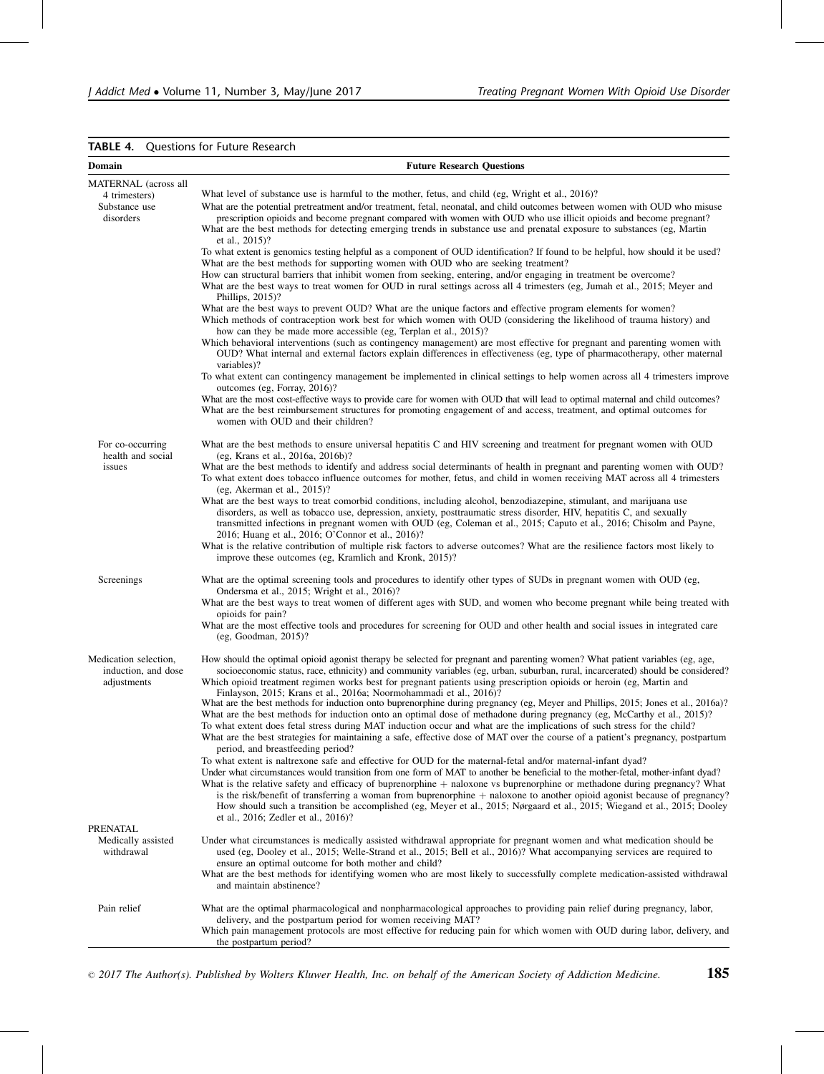#### TABLE 4. Questions for Future Research

| Domain                                                      | <b>Future Research Questions</b>                                                                                                                                                                                                                                                                                                                                                                                                                                                                                                                               |
|-------------------------------------------------------------|----------------------------------------------------------------------------------------------------------------------------------------------------------------------------------------------------------------------------------------------------------------------------------------------------------------------------------------------------------------------------------------------------------------------------------------------------------------------------------------------------------------------------------------------------------------|
| MATERNAL (across all                                        |                                                                                                                                                                                                                                                                                                                                                                                                                                                                                                                                                                |
| 4 trimesters)<br>Substance use<br>disorders                 | What level of substance use is harmful to the mother, fetus, and child (eg, Wright et al., 2016)?<br>What are the potential pretreatment and/or treatment, fetal, neonatal, and child outcomes between women with OUD who misuse<br>prescription opioids and become pregnant compared with women with OUD who use illicit opioids and become pregnant?                                                                                                                                                                                                         |
|                                                             | What are the best methods for detecting emerging trends in substance use and prenatal exposure to substances (eg, Martin<br>et al., 2015)?                                                                                                                                                                                                                                                                                                                                                                                                                     |
|                                                             | To what extent is genomics testing helpful as a component of OUD identification? If found to be helpful, how should it be used?<br>What are the best methods for supporting women with OUD who are seeking treatment?                                                                                                                                                                                                                                                                                                                                          |
|                                                             | How can structural barriers that inhibit women from seeking, entering, and/or engaging in treatment be overcome?<br>What are the best ways to treat women for OUD in rural settings across all 4 trimesters (eg, Jumah et al., 2015; Meyer and<br>Phillips, $2015$ ?                                                                                                                                                                                                                                                                                           |
|                                                             | What are the best ways to prevent OUD? What are the unique factors and effective program elements for women?<br>Which methods of contraception work best for which women with OUD (considering the likelihood of trauma history) and<br>how can they be made more accessible (eg, Terplan et al., 2015)?                                                                                                                                                                                                                                                       |
|                                                             | Which behavioral interventions (such as contingency management) are most effective for pregnant and parenting women with<br>OUD? What internal and external factors explain differences in effectiveness (eg, type of pharmacotherapy, other maternal<br>variables)?                                                                                                                                                                                                                                                                                           |
|                                                             | To what extent can contingency management be implemented in clinical settings to help women across all 4 trimesters improve<br>outcomes (eg, Forray, 2016)?                                                                                                                                                                                                                                                                                                                                                                                                    |
|                                                             | What are the most cost-effective ways to provide care for women with OUD that will lead to optimal maternal and child outcomes?<br>What are the best reimbursement structures for promoting engagement of and access, treatment, and optimal outcomes for<br>women with OUD and their children?                                                                                                                                                                                                                                                                |
| For co-occurring<br>health and social                       | What are the best methods to ensure universal hepatitis C and HIV screening and treatment for pregnant women with OUD<br>(eg, Krans et al., 2016a, 2016b)?                                                                                                                                                                                                                                                                                                                                                                                                     |
| issues                                                      | What are the best methods to identify and address social determinants of health in pregnant and parenting women with OUD?<br>To what extent does tobacco influence outcomes for mother, fetus, and child in women receiving MAT across all 4 trimesters<br>(eg. Akerman et al., $2015$ )?                                                                                                                                                                                                                                                                      |
|                                                             | What are the best ways to treat comorbid conditions, including alcohol, benzodiazepine, stimulant, and marijuana use<br>disorders, as well as tobacco use, depression, anxiety, posttraumatic stress disorder, HIV, hepatitis C, and sexually<br>transmitted infections in pregnant women with OUD (eg, Coleman et al., 2015; Caputo et al., 2016; Chisolm and Payne,<br>2016; Huang et al., 2016; O'Connor et al., 2016)?                                                                                                                                     |
|                                                             | What is the relative contribution of multiple risk factors to adverse outcomes? What are the resilience factors most likely to<br>improve these outcomes (eg, Kramlich and Kronk, 2015)?                                                                                                                                                                                                                                                                                                                                                                       |
| Screenings                                                  | What are the optimal screening tools and procedures to identify other types of SUDs in pregnant women with OUD (eg,<br>Ondersma et al., 2015; Wright et al., 2016)?                                                                                                                                                                                                                                                                                                                                                                                            |
|                                                             | What are the best ways to treat women of different ages with SUD, and women who become pregnant while being treated with<br>opioids for pain?                                                                                                                                                                                                                                                                                                                                                                                                                  |
|                                                             | What are the most effective tools and procedures for screening for OUD and other health and social issues in integrated care<br>(eg, Goodman, 2015)?                                                                                                                                                                                                                                                                                                                                                                                                           |
| Medication selection,<br>induction, and dose<br>adjustments | How should the optimal opioid agonist therapy be selected for pregnant and parenting women? What patient variables (eg, age,<br>socioeconomic status, race, ethnicity) and community variables (eg, urban, suburban, rural, incarcerated) should be considered?<br>Which opioid treatment regimen works best for pregnant patients using prescription opioids or heroin (eg, Martin and<br>Finlayson, 2015; Krans et al., 2016a; Noormohammadi et al., 2016)?                                                                                                  |
|                                                             | What are the best methods for induction onto buprenorphine during pregnancy (eg, Meyer and Phillips, 2015; Jones et al., 2016a)?<br>What are the best methods for induction onto an optimal dose of methodone during pregnancy (eg, McCarthy et al., 2015)?<br>To what extent does fetal stress during MAT induction occur and what are the implications of such stress for the child?<br>What are the best strategies for maintaining a safe, effective dose of MAT over the course of a patient's pregnancy, postpartum<br>period, and breastfeeding period? |
|                                                             | To what extent is naltrexone safe and effective for OUD for the maternal-fetal and/or maternal-infant dyad?<br>Under what circumstances would transition from one form of MAT to another be beneficial to the mother-fetal, mother-infant dyad?                                                                                                                                                                                                                                                                                                                |
|                                                             | What is the relative safety and efficacy of buprenorphine $+$ naloxone vs buprenorphine or methadone during pregnancy? What<br>is the risk/benefit of transferring a woman from buprenorphine $+$ naloxone to another opioid agonist because of pregnancy?<br>How should such a transition be accomplished (eg, Meyer et al., 2015; Nørgaard et al., 2015; Wiegand et al., 2015; Dooley<br>et al., 2016; Zedler et al., 2016)?                                                                                                                                 |
| PRENATAL                                                    |                                                                                                                                                                                                                                                                                                                                                                                                                                                                                                                                                                |
| Medically assisted<br>withdrawal                            | Under what circumstances is medically assisted withdrawal appropriate for pregnant women and what medication should be<br>used (eg, Dooley et al., 2015; Welle-Strand et al., 2015; Bell et al., 2016)? What accompanying services are required to<br>ensure an optimal outcome for both mother and child?                                                                                                                                                                                                                                                     |
|                                                             | What are the best methods for identifying women who are most likely to successfully complete medication-assisted withdrawal<br>and maintain abstinence?                                                                                                                                                                                                                                                                                                                                                                                                        |
| Pain relief                                                 | What are the optimal pharmacological and nonpharmacological approaches to providing pain relief during pregnancy, labor,<br>delivery, and the postpartum period for women receiving MAT?                                                                                                                                                                                                                                                                                                                                                                       |
|                                                             | Which pain management protocols are most effective for reducing pain for which women with OUD during labor, delivery, and<br>the postpartum period?                                                                                                                                                                                                                                                                                                                                                                                                            |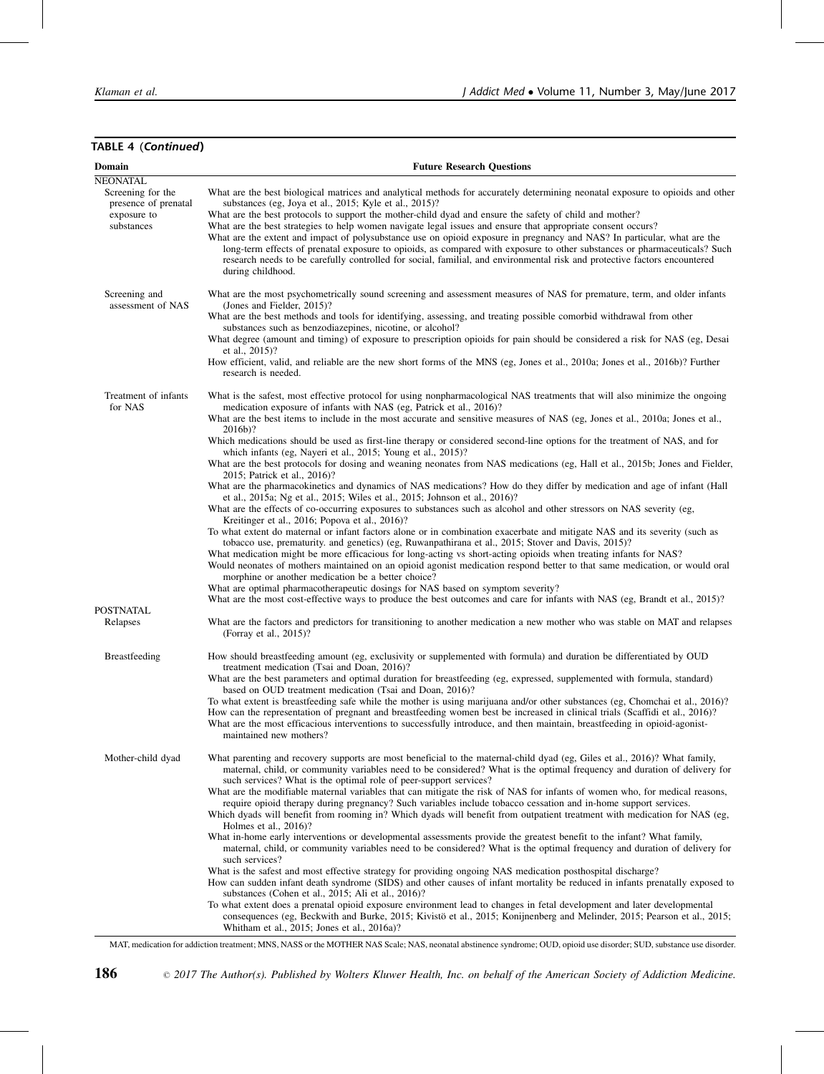| Domain                                                                 | <b>Future Research Questions</b>                                                                                                                                                                                                                                                                                                                                                                                                                                                                                                                                                                                                                                                                                                                                                                                               |
|------------------------------------------------------------------------|--------------------------------------------------------------------------------------------------------------------------------------------------------------------------------------------------------------------------------------------------------------------------------------------------------------------------------------------------------------------------------------------------------------------------------------------------------------------------------------------------------------------------------------------------------------------------------------------------------------------------------------------------------------------------------------------------------------------------------------------------------------------------------------------------------------------------------|
| <b>NEONATAL</b>                                                        |                                                                                                                                                                                                                                                                                                                                                                                                                                                                                                                                                                                                                                                                                                                                                                                                                                |
| Screening for the<br>presence of prenatal<br>exposure to<br>substances | What are the best biological matrices and analytical methods for accurately determining neonatal exposure to opioids and other<br>substances (eg, Joya et al., 2015; Kyle et al., 2015)?<br>What are the best protocols to support the mother-child dyad and ensure the safety of child and mother?<br>What are the best strategies to help women navigate legal issues and ensure that appropriate consent occurs?<br>What are the extent and impact of polysubstance use on opioid exposure in pregnancy and NAS? In particular, what are the<br>long-term effects of prenatal exposure to opioids, as compared with exposure to other substances or pharmaceuticals? Such<br>research needs to be carefully controlled for social, familial, and environmental risk and protective factors encountered<br>during childhood. |
| Screening and<br>assessment of NAS                                     | What are the most psychometrically sound screening and assessment measures of NAS for premature, term, and older infants<br>(Jones and Fielder, 2015)?                                                                                                                                                                                                                                                                                                                                                                                                                                                                                                                                                                                                                                                                         |
|                                                                        | What are the best methods and tools for identifying, assessing, and treating possible comorbid withdrawal from other<br>substances such as benzodiazepines, nicotine, or alcohol?<br>What degree (amount and timing) of exposure to prescription opioids for pain should be considered a risk for NAS (eg, Desai                                                                                                                                                                                                                                                                                                                                                                                                                                                                                                               |
|                                                                        | et al., 2015)?<br>How efficient, valid, and reliable are the new short forms of the MNS (eg, Jones et al., 2010a; Jones et al., 2016b)? Further<br>research is needed.                                                                                                                                                                                                                                                                                                                                                                                                                                                                                                                                                                                                                                                         |
| Treatment of infants<br>for NAS                                        | What is the safest, most effective protocol for using nonpharmacological NAS treatments that will also minimize the ongoing<br>medication exposure of infants with NAS (eg, Patrick et al., 2016)?                                                                                                                                                                                                                                                                                                                                                                                                                                                                                                                                                                                                                             |
|                                                                        | What are the best items to include in the most accurate and sensitive measures of NAS (eg, Jones et al., 2010a; Jones et al.,<br>2016b)?                                                                                                                                                                                                                                                                                                                                                                                                                                                                                                                                                                                                                                                                                       |
|                                                                        | Which medications should be used as first-line therapy or considered second-line options for the treatment of NAS, and for<br>which infants (eg, Nayeri et al., 2015; Young et al., 2015)?                                                                                                                                                                                                                                                                                                                                                                                                                                                                                                                                                                                                                                     |
|                                                                        | What are the best protocols for dosing and weaning neonates from NAS medications (eg, Hall et al., 2015b; Jones and Fielder,<br>2015; Patrick et al., 2016)?<br>What are the pharmacokinetics and dynamics of NAS medications? How do they differ by medication and age of infant (Hall                                                                                                                                                                                                                                                                                                                                                                                                                                                                                                                                        |
|                                                                        | et al., 2015a; Ng et al., 2015; Wiles et al., 2015; Johnson et al., 2016)?<br>What are the effects of co-occurring exposures to substances such as alcohol and other stressors on NAS severity (eg,                                                                                                                                                                                                                                                                                                                                                                                                                                                                                                                                                                                                                            |
|                                                                        | Kreitinger et al., 2016; Popova et al., 2016)?<br>To what extent do maternal or infant factors alone or in combination exacerbate and mitigate NAS and its severity (such as                                                                                                                                                                                                                                                                                                                                                                                                                                                                                                                                                                                                                                                   |
|                                                                        | tobacco use, prematurity. and genetics) (eg, Ruwanpathirana et al., 2015; Stover and Davis, 2015)?<br>What medication might be more efficacious for long-acting vs short-acting opioids when treating infants for NAS?<br>Would neonates of mothers maintained on an opioid agonist medication respond better to that same medication, or would oral<br>morphine or another medication be a better choice?                                                                                                                                                                                                                                                                                                                                                                                                                     |
|                                                                        | What are optimal pharmacotherapeutic dosings for NAS based on symptom severity?<br>What are the most cost-effective ways to produce the best outcomes and care for infants with NAS (eg, Brandt et al., 2015)?                                                                                                                                                                                                                                                                                                                                                                                                                                                                                                                                                                                                                 |
| <b>POSTNATAL</b><br>Relapses                                           | What are the factors and predictors for transitioning to another medication a new mother who was stable on MAT and relapses<br>(Forray et al., 2015)?                                                                                                                                                                                                                                                                                                                                                                                                                                                                                                                                                                                                                                                                          |
| Breastfeeding                                                          | How should breastfeeding amount (eg, exclusivity or supplemented with formula) and duration be differentiated by OUD<br>treatment medication (Tsai and Doan, 2016)?                                                                                                                                                                                                                                                                                                                                                                                                                                                                                                                                                                                                                                                            |
|                                                                        | What are the best parameters and optimal duration for breastfeeding (eg, expressed, supplemented with formula, standard)<br>based on OUD treatment medication (Tsai and Doan, 2016)?                                                                                                                                                                                                                                                                                                                                                                                                                                                                                                                                                                                                                                           |
|                                                                        | To what extent is breastfeeding safe while the mother is using marijuana and/or other substances (eg, Chomchai et al., 2016)?<br>How can the representation of pregnant and breastfeeding women best be increased in clinical trials (Scaffidi et al., 2016)?<br>What are the most efficacious interventions to successfully introduce, and then maintain, breastfeeding in opioid-agonist-<br>maintained new mothers?                                                                                                                                                                                                                                                                                                                                                                                                         |
| Mother-child dyad                                                      | What parenting and recovery supports are most beneficial to the maternal-child dyad (eg, Giles et al., 2016)? What family,<br>maternal, child, or community variables need to be considered? What is the optimal frequency and duration of delivery for<br>such services? What is the optimal role of peer-support services?                                                                                                                                                                                                                                                                                                                                                                                                                                                                                                   |
|                                                                        | What are the modifiable maternal variables that can mitigate the risk of NAS for infants of women who, for medical reasons,<br>require opioid therapy during pregnancy? Such variables include tobacco cessation and in-home support services.<br>Which dyads will benefit from rooming in? Which dyads will benefit from outpatient treatment with medication for NAS (eg,<br>Holmes et al., 2016)?                                                                                                                                                                                                                                                                                                                                                                                                                           |
|                                                                        | What in-home early interventions or developmental assessments provide the greatest benefit to the infant? What family,<br>maternal, child, or community variables need to be considered? What is the optimal frequency and duration of delivery for<br>such services?                                                                                                                                                                                                                                                                                                                                                                                                                                                                                                                                                          |
|                                                                        | What is the safest and most effective strategy for providing ongoing NAS medication posthospital discharge?<br>How can sudden infant death syndrome (SIDS) and other causes of infant mortality be reduced in infants prenatally exposed to<br>substances (Cohen et al., 2015; Ali et al., 2016)?                                                                                                                                                                                                                                                                                                                                                                                                                                                                                                                              |
|                                                                        | To what extent does a prenatal opioid exposure environment lead to changes in fetal development and later developmental<br>consequences (eg, Beckwith and Burke, 2015; Kivistö et al., 2015; Konijnenberg and Melinder, 2015; Pearson et al., 2015;<br>Whitham et al., 2015; Jones et al., 2016a)?                                                                                                                                                                                                                                                                                                                                                                                                                                                                                                                             |

# TABLE 4 (Continued)

MAT, medication for addiction treatment; MNS, NASS or the MOTHER NAS Scale; NAS, neonatal abstinence syndrome; OUD, opioid use disorder; SUD, substance use disorder.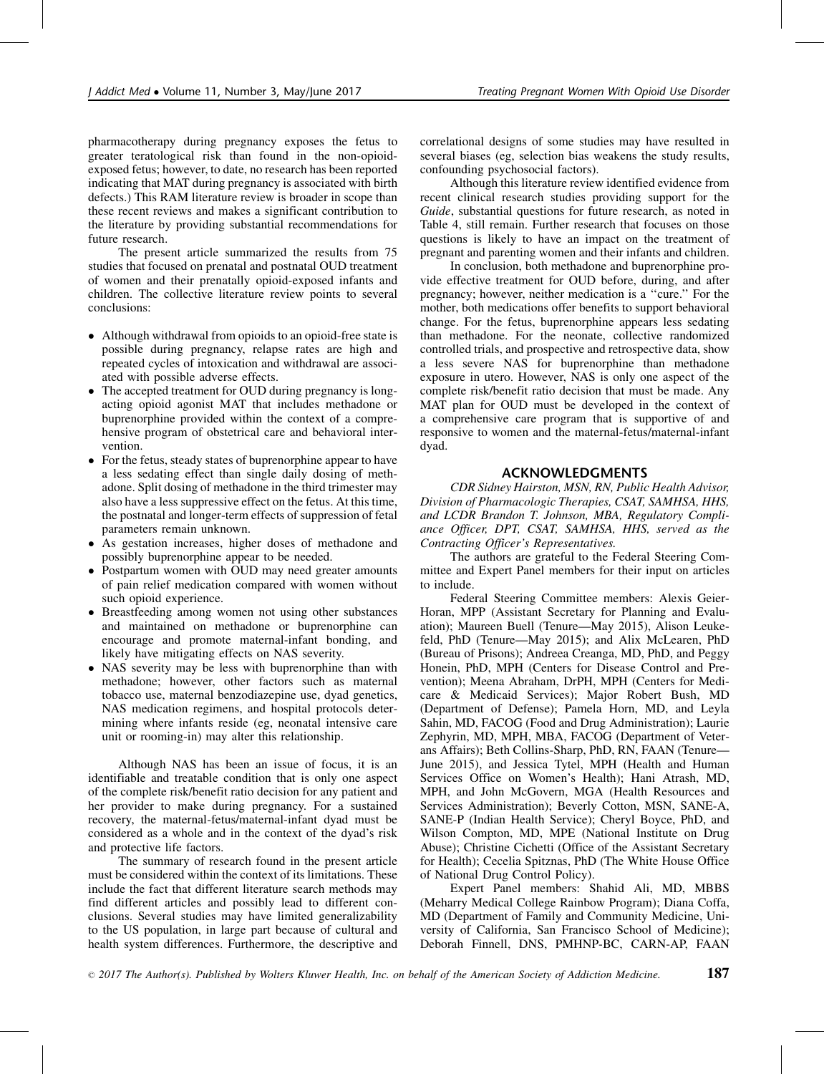pharmacotherapy during pregnancy exposes the fetus to greater teratological risk than found in the non-opioidexposed fetus; however, to date, no research has been reported indicating that MAT during pregnancy is associated with birth defects.) This RAM literature review is broader in scope than these recent reviews and makes a significant contribution to the literature by providing substantial recommendations for future research.

The present article summarized the results from 75 studies that focused on prenatal and postnatal OUD treatment of women and their prenatally opioid-exposed infants and children. The collective literature review points to several conclusions:

- Although withdrawal from opioids to an opioid-free state is possible during pregnancy, relapse rates are high and repeated cycles of intoxication and withdrawal are associated with possible adverse effects.
- The accepted treatment for OUD during pregnancy is longacting opioid agonist MAT that includes methadone or buprenorphine provided within the context of a comprehensive program of obstetrical care and behavioral intervention.
- For the fetus, steady states of buprenorphine appear to have a less sedating effect than single daily dosing of methadone. Split dosing of methadone in the third trimester may also have a less suppressive effect on the fetus. At this time, the postnatal and longer-term effects of suppression of fetal parameters remain unknown.
- As gestation increases, higher doses of methadone and possibly buprenorphine appear to be needed.
- Postpartum women with OUD may need greater amounts of pain relief medication compared with women without such opioid experience.
- Breastfeeding among women not using other substances and maintained on methadone or buprenorphine can encourage and promote maternal-infant bonding, and likely have mitigating effects on NAS severity.
- NAS severity may be less with buprenorphine than with methadone; however, other factors such as maternal tobacco use, maternal benzodiazepine use, dyad genetics, NAS medication regimens, and hospital protocols determining where infants reside (eg, neonatal intensive care unit or rooming-in) may alter this relationship.

Although NAS has been an issue of focus, it is an identifiable and treatable condition that is only one aspect of the complete risk/benefit ratio decision for any patient and her provider to make during pregnancy. For a sustained recovery, the maternal-fetus/maternal-infant dyad must be considered as a whole and in the context of the dyad's risk and protective life factors.

The summary of research found in the present article must be considered within the context of its limitations. These include the fact that different literature search methods may find different articles and possibly lead to different conclusions. Several studies may have limited generalizability to the US population, in large part because of cultural and health system differences. Furthermore, the descriptive and

correlational designs of some studies may have resulted in several biases (eg, selection bias weakens the study results, confounding psychosocial factors).

Although this literature review identified evidence from recent clinical research studies providing support for the Guide, substantial questions for future research, as noted in Table 4, still remain. Further research that focuses on those questions is likely to have an impact on the treatment of pregnant and parenting women and their infants and children.

In conclusion, both methadone and buprenorphine provide effective treatment for OUD before, during, and after pregnancy; however, neither medication is a ''cure.'' For the mother, both medications offer benefits to support behavioral change. For the fetus, buprenorphine appears less sedating than methadone. For the neonate, collective randomized controlled trials, and prospective and retrospective data, show a less severe NAS for buprenorphine than methadone exposure in utero. However, NAS is only one aspect of the complete risk/benefit ratio decision that must be made. Any MAT plan for OUD must be developed in the context of a comprehensive care program that is supportive of and responsive to women and the maternal-fetus/maternal-infant dyad.

#### ACKNOWLEDGMENTS

CDR Sidney Hairston, MSN, RN, Public Health Advisor, Division of Pharmacologic Therapies, CSAT, SAMHSA, HHS, and LCDR Brandon T. Johnson, MBA, Regulatory Compliance Officer, DPT, CSAT, SAMHSA, HHS, served as the Contracting Officer's Representatives.

The authors are grateful to the Federal Steering Committee and Expert Panel members for their input on articles to include.

Federal Steering Committee members: Alexis Geier-Horan, MPP (Assistant Secretary for Planning and Evaluation); Maureen Buell (Tenure—May 2015), Alison Leukefeld, PhD (Tenure—May 2015); and Alix McLearen, PhD (Bureau of Prisons); Andreea Creanga, MD, PhD, and Peggy Honein, PhD, MPH (Centers for Disease Control and Prevention); Meena Abraham, DrPH, MPH (Centers for Medicare & Medicaid Services); Major Robert Bush, MD (Department of Defense); Pamela Horn, MD, and Leyla Sahin, MD, FACOG (Food and Drug Administration); Laurie Zephyrin, MD, MPH, MBA, FACOG (Department of Veterans Affairs); Beth Collins-Sharp, PhD, RN, FAAN (Tenure— June 2015), and Jessica Tytel, MPH (Health and Human Services Office on Women's Health); Hani Atrash, MD, MPH, and John McGovern, MGA (Health Resources and Services Administration); Beverly Cotton, MSN, SANE-A, SANE-P (Indian Health Service); Cheryl Boyce, PhD, and Wilson Compton, MD, MPE (National Institute on Drug Abuse); Christine Cichetti (Office of the Assistant Secretary for Health); Cecelia Spitznas, PhD (The White House Office of National Drug Control Policy).

Expert Panel members: Shahid Ali, MD, MBBS (Meharry Medical College Rainbow Program); Diana Coffa, MD (Department of Family and Community Medicine, University of California, San Francisco School of Medicine); Deborah Finnell, DNS, PMHNP-BC, CARN-AP, FAAN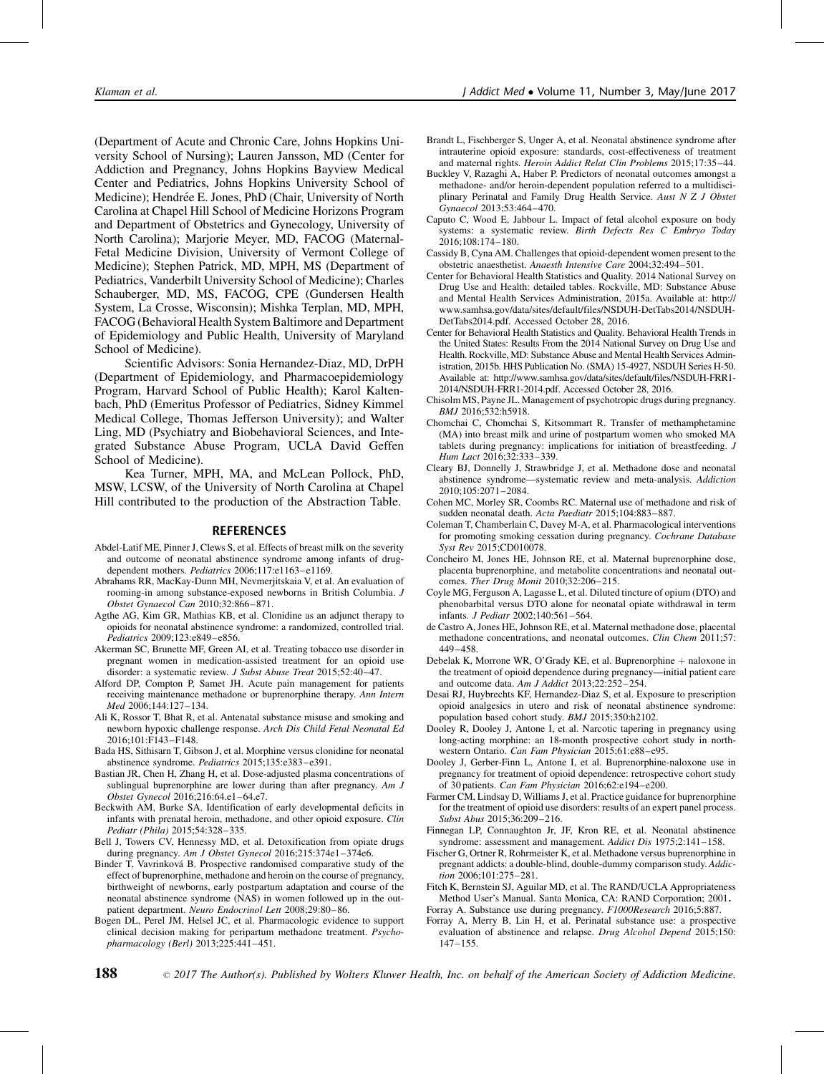<span id="page-10-0"></span>(Department of Acute and Chronic Care, Johns Hopkins University School of Nursing); Lauren Jansson, MD (Center for Addiction and Pregnancy, Johns Hopkins Bayview Medical Center and Pediatrics, Johns Hopkins University School of Medicine); Hendrée E. Jones, PhD (Chair, University of North Carolina at Chapel Hill School of Medicine Horizons Program and Department of Obstetrics and Gynecology, University of North Carolina); Marjorie Meyer, MD, FACOG (Maternal-Fetal Medicine Division, University of Vermont College of Medicine); Stephen Patrick, MD, MPH, MS (Department of Pediatrics, Vanderbilt University School of Medicine); Charles Schauberger, MD, MS, FACOG, CPE (Gundersen Health System, La Crosse, Wisconsin); Mishka Terplan, MD, MPH, FACOG (Behavioral Health System Baltimore and Department of Epidemiology and Public Health, University of Maryland School of Medicine).

Scientific Advisors: Sonia Hernandez-Diaz, MD, DrPH (Department of Epidemiology, and Pharmacoepidemiology Program, Harvard School of Public Health); Karol Kaltenbach, PhD (Emeritus Professor of Pediatrics, Sidney Kimmel Medical College, Thomas Jefferson University); and Walter Ling, MD (Psychiatry and Biobehavioral Sciences, and Integrated Substance Abuse Program, UCLA David Geffen School of Medicine).

Kea Turner, MPH, MA, and McLean Pollock, PhD, MSW, LCSW, of the University of North Carolina at Chapel Hill contributed to the production of the Abstraction Table.

#### **REFERENCES**

- Abdel-Latif ME, Pinner J, Clews S, et al. Effects of breast milk on the severity and outcome of neonatal abstinence syndrome among infants of drugdependent mothers. Pediatrics 2006;117:e1163-e1169.
- Abrahams RR, MacKay-Dunn MH, Nevmerjitskaia V, et al. An evaluation of rooming-in among substance-exposed newborns in British Columbia. J Obstet Gynaecol Can 2010;32:866–871.
- Agthe AG, Kim GR, Mathias KB, et al. Clonidine as an adjunct therapy to opioids for neonatal abstinence syndrome: a randomized, controlled trial. Pediatrics 2009;123:e849–e856.
- Akerman SC, Brunette MF, Green AI, et al. Treating tobacco use disorder in pregnant women in medication-assisted treatment for an opioid use disorder: a systematic review. J Subst Abuse Treat 2015;52:40-47.
- Alford DP, Compton P, Samet JH. Acute pain management for patients receiving maintenance methadone or buprenorphine therapy. Ann Intern Med 2006;144:127–134.
- Ali K, Rossor T, Bhat R, et al. Antenatal substance misuse and smoking and newborn hypoxic challenge response. Arch Dis Child Fetal Neonatal Ed 2016;101:F143–F148.
- Bada HS, Sithisarn T, Gibson J, et al. Morphine versus clonidine for neonatal abstinence syndrome. Pediatrics 2015;135:e383–e391.
- Bastian JR, Chen H, Zhang H, et al. Dose-adjusted plasma concentrations of sublingual buprenorphine are lower during than after pregnancy. Am  $J$ Obstet Gynecol 2016;216:64.e1–64.e7.
- Beckwith AM, Burke SA. Identification of early developmental deficits in infants with prenatal heroin, methadone, and other opioid exposure. Clin Pediatr (Phila) 2015;54:328–335.
- Bell J, Towers CV, Hennessy MD, et al. Detoxification from opiate drugs during pregnancy. Am J Obstet Gynecol 2016;215:374e1-374e6.
- Binder T, Vavrinkova´ B. Prospective randomised comparative study of the effect of buprenorphine, methadone and heroin on the course of pregnancy, birthweight of newborns, early postpartum adaptation and course of the neonatal abstinence syndrome (NAS) in women followed up in the outpatient department. Neuro Endocrinol Lett 2008;29:80–86.
- Bogen DL, Perel JM, Helsel JC, et al. Pharmacologic evidence to support clinical decision making for peripartum methadone treatment. Psychopharmacology (Berl) 2013;225:441–451.
- Brandt L, Fischberger S, Unger A, et al. Neonatal abstinence syndrome after intrauterine opioid exposure: standards, cost-effectiveness of treatment and maternal rights. Heroin Addict Relat Clin Problems 2015;17:35–44.
- Buckley V, Razaghi A, Haber P. Predictors of neonatal outcomes amongst a methadone- and/or heroin-dependent population referred to a multidisciplinary Perinatal and Family Drug Health Service. Aust N Z J Obstet Gynaecol 2013;53:464–470.
- Caputo C, Wood E, Jabbour L. Impact of fetal alcohol exposure on body systems: a systematic review. Birth Defects Res C Embryo Today 2016;108:174–180.
- Cassidy B, Cyna AM. Challenges that opioid-dependent women present to the obstetric anaesthetist. Anaesth Intensive Care 2004;32:494–501.
- Center for Behavioral Health Statistics and Quality. 2014 National Survey on Drug Use and Health: detailed tables. Rockville, MD: Substance Abuse and Mental Health Services Administration, 2015a. Available at: [http://](http://www.samhsa.gov/data/sites/default/files/NSDUH-DetTabs2014/NSDUH-DetTabs2014.pdf) [www.samhsa.gov/data/sites/default/files/NSDUH-DetTabs2014/NSDUH-](http://www.samhsa.gov/data/sites/default/files/NSDUH-DetTabs2014/NSDUH-DetTabs2014.pdf)[DetTabs2014.pdf. Accessed October 28, 2016.](http://www.samhsa.gov/data/sites/default/files/NSDUH-DetTabs2014/NSDUH-DetTabs2014.pdf)
- Center for Behavioral Health Statistics and Quality. Behavioral Health Trends in the United States: Results From the 2014 National Survey on Drug Use and Health. Rockville, MD: Substance Abuse and Mental Health Services Administration, 2015b. HHS Publication No. (SMA) 15-4927, NSDUH Series H-50. Available at: [http://www.samhsa.gov/data/sites/default/files/NSDUH-FRR1-](http://www.samhsa.gov/data/sites/default/files/NSDUH-FRR1-2014/NSDUH-FRR1-2014.pdf) [2014/NSDUH-FRR1-2014.pdf. Accessed October 28, 2016.](http://www.samhsa.gov/data/sites/default/files/NSDUH-FRR1-2014/NSDUH-FRR1-2014.pdf)
- Chisolm MS, Payne JL. Management of psychotropic drugs during pregnancy. BMJ 2016;532:h5918.
- Chomchai C, Chomchai S, Kitsommart R. Transfer of methamphetamine (MA) into breast milk and urine of postpartum women who smoked MA tablets during pregnancy: implications for initiation of breastfeeding. J Hum Lact 2016;32:333–339.
- Cleary BJ, Donnelly J, Strawbridge J, et al. Methadone dose and neonatal abstinence syndrome—systematic review and meta-analysis. Addiction 2010;105:2071–2084.
- Cohen MC, Morley SR, Coombs RC. Maternal use of methadone and risk of sudden neonatal death. Acta Paediatr 2015;104:883–887.
- Coleman T, Chamberlain C, Davey M-A, et al. Pharmacological interventions for promoting smoking cessation during pregnancy. Cochrane Database Syst Rev 2015;CD010078.
- Concheiro M, Jones HE, Johnson RE, et al. Maternal buprenorphine dose, placenta buprenorphine, and metabolite concentrations and neonatal outcomes. Ther Drug Monit 2010;32:206–215.
- Coyle MG, Ferguson A, Lagasse L, et al. Diluted tincture of opium (DTO) and phenobarbital versus DTO alone for neonatal opiate withdrawal in term infants. J Pediatr 2002;140:561–564.
- de Castro A, Jones HE, Johnson RE, et al. Maternal methadone dose, placental methadone concentrations, and neonatal outcomes. Clin Chem 2011;57: 449–458.
- Debelak K, Morrone WR, O'Grady KE, et al. Buprenorphine + naloxone in the treatment of opioid dependence during pregnancy—initial patient care and outcome data. Am J Addict 2013;22:252–254.
- Desai RJ, Huybrechts KF, Hernandez-Diaz S, et al. Exposure to prescription opioid analgesics in utero and risk of neonatal abstinence syndrome: population based cohort study. BMJ 2015;350:h2102.
- Dooley R, Dooley J, Antone I, et al. Narcotic tapering in pregnancy using long-acting morphine: an 18-month prospective cohort study in northwestern Ontario. Can Fam Physician 2015;61:e88–e95.
- Dooley J, Gerber-Finn L, Antone I, et al. Buprenorphine-naloxone use in pregnancy for treatment of opioid dependence: retrospective cohort study of 30 patients. Can Fam Physician 2016;62:e194–e200.
- Farmer CM, Lindsay D, Williams J, et al. Practice guidance for buprenorphine for the treatment of opioid use disorders: results of an expert panel process. Subst Abus 2015;36:209–216.
- Finnegan LP, Connaughton Jr, JF, Kron RE, et al. Neonatal abstinence syndrome: assessment and management. Addict Dis 1975;2:141–158.
- Fischer G, Ortner R, Rohrmeister K, et al. Methadone versus buprenorphine in pregnant addicts: a double-blind, double-dummy comparison study. Addiction 2006;101:275–281.
- Fitch K, Bernstein SJ, Aguilar MD, et al. The RAND/UCLA Appropriateness Method User's Manual. Santa Monica, CA: RAND Corporation; 2001.
- Forray A. Substance use during pregnancy. F1000Research 2016;5:887.
- Forray A, Merry B, Lin H, et al. Perinatal substance use: a prospective evaluation of abstinence and relapse. Drug Alcohol Depend 2015;150: 147–155.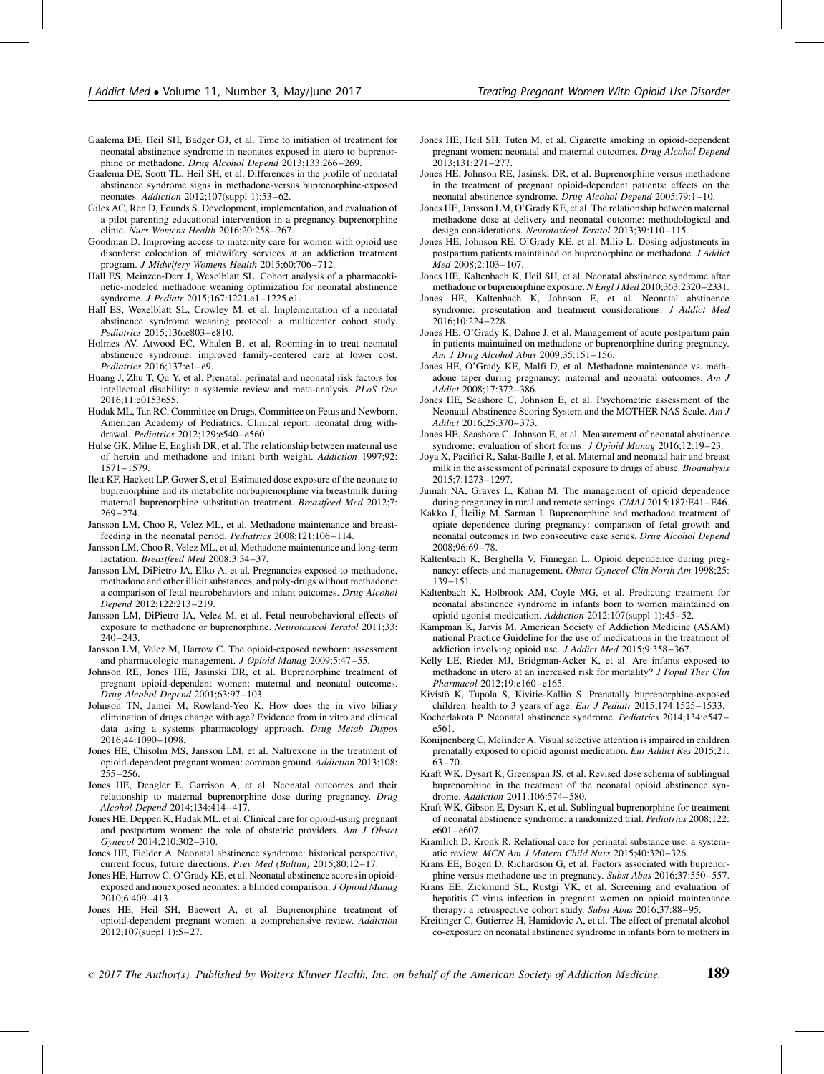- <span id="page-11-0"></span>Gaalema DE, Heil SH, Badger GJ, et al. Time to initiation of treatment for neonatal abstinence syndrome in neonates exposed in utero to buprenorphine or methadone. Drug Alcohol Depend 2013;133:266–269.
- Gaalema DE, Scott TL, Heil SH, et al. Differences in the profile of neonatal abstinence syndrome signs in methadone-versus buprenorphine-exposed neonates. Addiction 2012;107(suppl 1):53–62.
- Giles AC, Ren D, Founds S. Development, implementation, and evaluation of a pilot parenting educational intervention in a pregnancy buprenorphine clinic. Nurs Womens Health 2016;20:258–267.
- Goodman D. Improving access to maternity care for women with opioid use disorders: colocation of midwifery services at an addiction treatment program. J Midwifery Womens Health 2015;60:706–712.
- Hall ES, Meinzen-Derr J, Wexelblatt SL. Cohort analysis of a pharmacokinetic-modeled methadone weaning optimization for neonatal abstinence syndrome. J Pediatr 2015;167:1221.e1–1225.e1.
- Hall ES, Wexelblatt SL, Crowley M, et al. Implementation of a neonatal abstinence syndrome weaning protocol: a multicenter cohort study. Pediatrics 2015;136:e803–e810.
- Holmes AV, Atwood EC, Whalen B, et al. Rooming-in to treat neonatal abstinence syndrome: improved family-centered care at lower cost. Pediatrics 2016;137:e1–e9.
- Huang J, Zhu T, Qu Y, et al. Prenatal, perinatal and neonatal risk factors for intellectual disability: a systemic review and meta-analysis. PLoS One 2016;11:e0153655.
- Hudak ML, Tan RC, Committee on Drugs, Committee on Fetus and Newborn. American Academy of Pediatrics. Clinical report: neonatal drug withdrawal. Pediatrics 2012;129:e540–e560.
- Hulse GK, Milne E, English DR, et al. The relationship between maternal use of heroin and methadone and infant birth weight. Addiction 1997;92: 1571–1579.
- Ilett KF, Hackett LP, Gower S, et al. Estimated dose exposure of the neonate to buprenorphine and its metabolite norbuprenorphine via breastmilk during maternal buprenorphine substitution treatment. Breastfeed Med 2012;7: 269–274.
- Jansson LM, Choo R, Velez ML, et al. Methadone maintenance and breastfeeding in the neonatal period. Pediatrics 2008;121:106–114.
- Jansson LM, Choo R, Velez ML, et al. Methadone maintenance and long-term lactation. Breastfeed Med 2008;3:34–37.
- Jansson LM, DiPietro JA, Elko A, et al. Pregnancies exposed to methadone, methadone and other illicit substances, and poly-drugs without methadone: a comparison of fetal neurobehaviors and infant outcomes. Drug Alcohol Depend 2012;122:213–219.
- Jansson LM, DiPietro JA, Velez M, et al. Fetal neurobehavioral effects of exposure to methadone or buprenorphine. Neurotoxicol Teratol 2011;33: 240–243.
- Jansson LM, Velez M, Harrow C. The opioid-exposed newborn: assessment and pharmacologic management. J Opioid Manag 2009;5:47–55.
- Johnson RE, Jones HE, Jasinski DR, et al. Buprenorphine treatment of pregnant opioid-dependent women: maternal and neonatal outcomes. Drug Alcohol Depend 2001;63:97–103.
- Johnson TN, Jamei M, Rowland-Yeo K. How does the in vivo biliary elimination of drugs change with age? Evidence from in vitro and clinical data using a systems pharmacology approach. Drug Metab Dispos 2016;44:1090–1098.
- Jones HE, Chisolm MS, Jansson LM, et al. Naltrexone in the treatment of opioid-dependent pregnant women: common ground. Addiction 2013;108: 255–256.
- Jones HE, Dengler E, Garrison A, et al. Neonatal outcomes and their relationship to maternal buprenorphine dose during pregnancy. Drug Alcohol Depend 2014;134:414–417.
- Jones HE, Deppen K, Hudak ML, et al. Clinical care for opioid-using pregnant and postpartum women: the role of obstetric providers. Am J Obstet Gynecol 2014;210:302–310.
- Jones HE, Fielder A. Neonatal abstinence syndrome: historical perspective, current focus, future directions. Prev Med (Baltim) 2015;80:12–17.
- Jones HE, Harrow C, O'Grady KE, et al. Neonatal abstinence scores in opioidexposed and nonexposed neonates: a blinded comparison. J Opioid Manag 2010;6:409–413.
- Jones HE, Heil SH, Baewert A, et al. Buprenorphine treatment of opioid-dependent pregnant women: a comprehensive review. Addiction 2012;107(suppl 1):5–27.
- Jones HE, Heil SH, Tuten M, et al. Cigarette smoking in opioid-dependent pregnant women: neonatal and maternal outcomes. Drug Alcohol Depend 2013;131:271–277.
- Jones HE, Johnson RE, Jasinski DR, et al. Buprenorphine versus methadone in the treatment of pregnant opioid-dependent patients: effects on the neonatal abstinence syndrome. Drug Alcohol Depend 2005;79:1–10.
- Jones HE, Jansson LM, O'Grady KE, et al. The relationship between maternal methadone dose at delivery and neonatal outcome: methodological and design considerations. Neurotoxicol Teratol 2013;39:110–115.
- Jones HE, Johnson RE, O'Grady KE, et al. Milio L. Dosing adjustments in postpartum patients maintained on buprenorphine or methadone. J Addict Med 2008;2:103–107.
- Jones HE, Kaltenbach K, Heil SH, et al. Neonatal abstinence syndrome after methadone or buprenorphine exposure. N Engl J Med 2010;363:2320-2331.
- Jones HE, Kaltenbach K, Johnson E, et al. Neonatal abstinence syndrome: presentation and treatment considerations. J Addict Med 2016;10:224–228.
- Jones HE, O'Grady K, Dahne J, et al. Management of acute postpartum pain in patients maintained on methadone or buprenorphine during pregnancy. Am J Drug Alcohol Abus 2009;35:151–156.
- Jones HE, O'Grady KE, Malfi D, et al. Methadone maintenance vs. methadone taper during pregnancy: maternal and neonatal outcomes. Am J Addict 2008;17:372–386.
- Jones HE, Seashore C, Johnson E, et al. Psychometric assessment of the Neonatal Abstinence Scoring System and the MOTHER NAS Scale. Am J Addict 2016;25:370–373.
- Jones HE, Seashore C, Johnson E, et al. Measurement of neonatal abstinence syndrome: evaluation of short forms. J Opioid Manag 2016;12:19-23.
- Joya X, Pacifici R, Salat-Batlle J, et al. Maternal and neonatal hair and breast milk in the assessment of perinatal exposure to drugs of abuse. Bioanalysis 2015;7:1273–1297.
- Jumah NA, Graves L, Kahan M. The management of opioid dependence during pregnancy in rural and remote settings. CMAJ 2015;187:E41–E46.
- Kakko J, Heilig M, Sarman I. Buprenorphine and methadone treatment of opiate dependence during pregnancy: comparison of fetal growth and neonatal outcomes in two consecutive case series. Drug Alcohol Depend 2008;96:69–78.
- Kaltenbach K, Berghella V, Finnegan L. Opioid dependence during pregnancy: effects and management. Obstet Gynecol Clin North Am 1998;25: 139–151.
- Kaltenbach K, Holbrook AM, Coyle MG, et al. Predicting treatment for neonatal abstinence syndrome in infants born to women maintained on opioid agonist medication. Addiction 2012;107(suppl 1):45–52.
- Kampman K, Jarvis M. American Society of Addiction Medicine (ASAM) national Practice Guideline for the use of medications in the treatment of addiction involving opioid use. J Addict Med 2015;9:358–367.
- Kelly LE, Rieder MJ, Bridgman-Acker K, et al. Are infants exposed to methadone in utero at an increased risk for mortality? J Popul Ther Clin Pharmacol 2012;19:e160–e165.
- Kivistö K, Tupola S, Kivitie-Kallio S. Prenatally buprenorphine-exposed children: health to 3 years of age. Eur J Pediatr  $2015;174:1525-1533$ .
- Kocherlakota P. Neonatal abstinence syndrome. Pediatrics 2014;134:e547– e561.
- Konijnenberg C, Melinder A. Visual selective attention is impaired in children prenatally exposed to opioid agonist medication. Eur Addict Res 2015;21: 63–70.
- Kraft WK, Dysart K, Greenspan JS, et al. Revised dose schema of sublingual buprenorphine in the treatment of the neonatal opioid abstinence syndrome. Addiction 2011;106:574–580.
- Kraft WK, Gibson E, Dysart K, et al. Sublingual buprenorphine for treatment of neonatal abstinence syndrome: a randomized trial. Pediatrics 2008;122: e601–e607.
- Kramlich D, Kronk R. Relational care for perinatal substance use: a systematic review. MCN Am J Matern Child Nurs 2015;40:320–326.
- Krans EE, Bogen D, Richardson G, et al. Factors associated with buprenorphine versus methadone use in pregnancy. Subst Abus 2016;37:550-557.
- Krans EE, Zickmund SL, Rustgi VK, et al. Screening and evaluation of hepatitis C virus infection in pregnant women on opioid maintenance therapy: a retrospective cohort study. Subst Abus 2016;37:88–95.
- Kreitinger C, Gutierrez H, Hamidovic A, et al. The effect of prenatal alcohol co-exposure on neonatal abstinence syndrome in infants born to mothers in